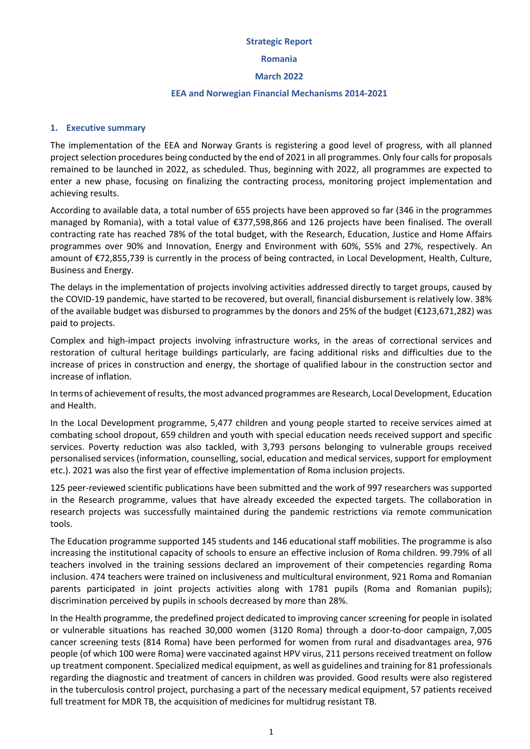#### **Strategic Report**

#### **Romania**

#### **March 2022**

#### **EEA and Norwegian Financial Mechanisms 2014-2021**

# **1. Executive summary**

The implementation of the EEA and Norway Grants is registering a good level of progress, with all planned project selection procedures being conducted by the end of 2021 in all programmes. Only four calls for proposals remained to be launched in 2022, as scheduled. Thus, beginning with 2022, all programmes are expected to enter a new phase, focusing on finalizing the contracting process, monitoring project implementation and achieving results.

According to available data, a total number of 655 projects have been approved so far (346 in the programmes managed by Romania), with a total value of €377,598,866 and 126 projects have been finalised. The overall contracting rate has reached 78% of the total budget, with the Research, Education, Justice and Home Affairs programmes over 90% and Innovation, Energy and Environment with 60%, 55% and 27%, respectively. An amount of €72,855,739 is currently in the process of being contracted, in Local Development, Health, Culture, Business and Energy.

The delays in the implementation of projects involving activities addressed directly to target groups, caused by the COVID-19 pandemic, have started to be recovered, but overall, financial disbursement is relatively low. 38% of the available budget was disbursed to programmes by the donors and 25% of the budget (€123,671,282) was paid to projects.

Complex and high-impact projects involving infrastructure works, in the areas of correctional services and restoration of cultural heritage buildings particularly, are facing additional risks and difficulties due to the increase of prices in construction and energy, the shortage of qualified labour in the construction sector and increase of inflation.

In terms of achievement of results, the most advanced programmes are Research, Local Development, Education and Health.

In the Local Development programme, 5,477 children and young people started to receive services aimed at combating school dropout, 659 children and youth with special education needs received support and specific services. Poverty reduction was also tackled, with 3,793 persons belonging to vulnerable groups received personalised services (information, counselling, social, education and medical services, support for employment etc.). 2021 was also the first year of effective implementation of Roma inclusion projects.

125 peer-reviewed scientific publications have been submitted and the work of 997 researchers was supported in the Research programme, values that have already exceeded the expected targets. The collaboration in research projects was successfully maintained during the pandemic restrictions via remote communication tools.

The Education programme supported 145 students and 146 educational staff mobilities. The programme is also increasing the institutional capacity of schools to ensure an effective inclusion of Roma children. 99.79% of all teachers involved in the training sessions declared an improvement of their competencies regarding Roma inclusion. 474 teachers were trained on inclusiveness and multicultural environment, 921 Roma and Romanian parents participated in joint projects activities along with 1781 pupils (Roma and Romanian pupils); discrimination perceived by pupils in schools decreased by more than 28%.

In the Health programme, the predefined project dedicated to improving cancer screening for people in isolated or vulnerable situations has reached 30,000 women (3120 Roma) through a door-to-door campaign, 7,005 cancer screening tests (814 Roma) have been performed for women from rural and disadvantages area, 976 people (of which 100 were Roma) were vaccinated against HPV virus, 211 persons received treatment on follow up treatment component. Specialized medical equipment, as well as guidelines and training for 81 professionals regarding the diagnostic and treatment of cancers in children was provided. Good results were also registered in the tuberculosis control project, purchasing a part of the necessary medical equipment, 57 patients received full treatment for MDR TB, the acquisition of medicines for multidrug resistant TB.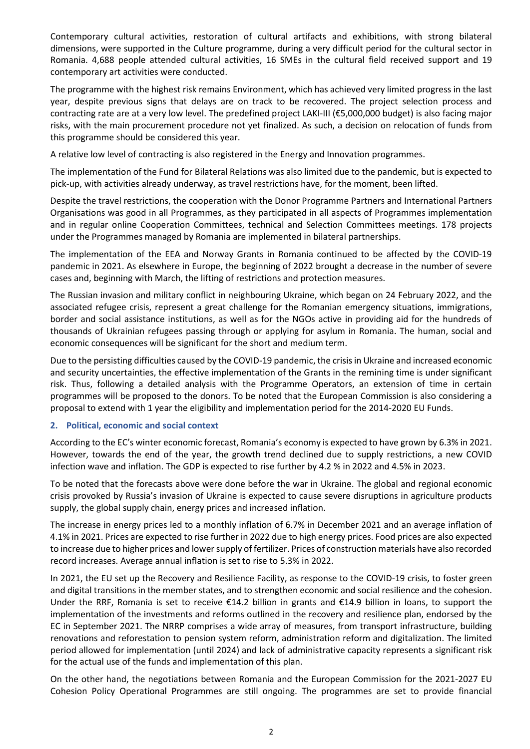Contemporary cultural activities, restoration of cultural artifacts and exhibitions, with strong bilateral dimensions, were supported in the Culture programme, during a very difficult period for the cultural sector in Romania. 4,688 people attended cultural activities, 16 SMEs in the cultural field received support and 19 contemporary art activities were conducted.

The programme with the highest risk remains Environment, which has achieved very limited progress in the last year, despite previous signs that delays are on track to be recovered. The project selection process and contracting rate are at a very low level. The predefined project LAKI-III (€5,000,000 budget) is also facing major risks, with the main procurement procedure not yet finalized. As such, a decision on relocation of funds from this programme should be considered this year.

A relative low level of contracting is also registered in the Energy and Innovation programmes.

The implementation of the Fund for Bilateral Relations was also limited due to the pandemic, but is expected to pick-up, with activities already underway, as travel restrictions have, for the moment, been lifted.

Despite the travel restrictions, the cooperation with the Donor Programme Partners and International Partners Organisations was good in all Programmes, as they participated in all aspects of Programmes implementation and in regular online Cooperation Committees, technical and Selection Committees meetings. 178 projects under the Programmes managed by Romania are implemented in bilateral partnerships.

The implementation of the EEA and Norway Grants in Romania continued to be affected by the COVID-19 pandemic in 2021. As elsewhere in Europe, the beginning of 2022 brought a decrease in the number of severe cases and, beginning with March, the lifting of restrictions and protection measures.

The Russian invasion and military conflict in neighbouring Ukraine, which began on 24 February 2022, and the associated refugee crisis, represent a great challenge for the Romanian emergency situations, immigrations, border and social assistance institutions, as well as for the NGOs active in providing aid for the hundreds of thousands of Ukrainian refugees passing through or applying for asylum in Romania. The human, social and economic consequences will be significant for the short and medium term.

Due to the persisting difficulties caused by the COVID-19 pandemic, the crisis in Ukraine and increased economic and security uncertainties, the effective implementation of the Grants in the remining time is under significant risk. Thus, following a detailed analysis with the Programme Operators, an extension of time in certain programmes will be proposed to the donors. To be noted that the European Commission is also considering a proposal to extend with 1 year the eligibility and implementation period for the 2014-2020 EU Funds.

### **2. Political, economic and social context**

According to the EC's winter economic forecast, Romania's economy is expected to have grown by 6.3% in 2021. However, towards the end of the year, the growth trend declined due to supply restrictions, a new COVID infection wave and inflation. The GDP is expected to rise further by 4.2 % in 2022 and 4.5% in 2023.

To be noted that the forecasts above were done before the war in Ukraine. The global and regional economic crisis provoked by Russia's invasion of Ukraine is expected to cause severe disruptions in agriculture products supply, the global supply chain, energy prices and increased inflation.

The increase in energy prices led to a monthly inflation of 6.7% in December 2021 and an average inflation of 4.1% in 2021. Prices are expected to rise further in 2022 due to high energy prices. Food prices are also expected to increase due to higher prices and lower supply of fertilizer. Prices of construction materials have also recorded record increases. Average annual inflation is set to rise to 5.3% in 2022.

In 2021, the EU set up the Recovery and Resilience Facility, as response to the COVID-19 crisis, to foster green and digital transitions in the member states, and to strengthen economic and social resilience and the cohesion. Under the RRF, Romania is set to receive €14.2 billion in grants and €14.9 billion in loans, to support the implementation of the investments and reforms outlined in the recovery and resilience plan, endorsed by the EC in September 2021. The NRRP comprises a wide array of measures, from transport infrastructure, building renovations and reforestation to pension system reform, administration reform and digitalization. The limited period allowed for implementation (until 2024) and lack of administrative capacity represents a significant risk for the actual use of the funds and implementation of this plan.

On the other hand, the negotiations between Romania and the European Commission for the 2021-2027 EU Cohesion Policy Operational Programmes are still ongoing. The programmes are set to provide financial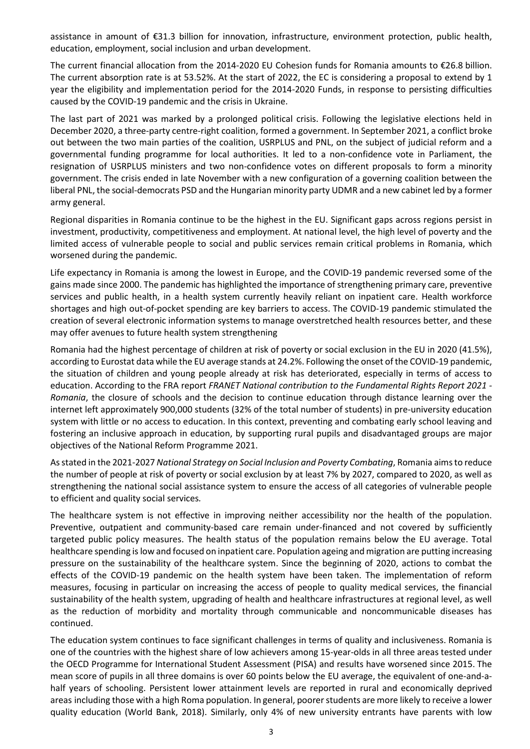assistance in amount of €31.3 billion for innovation, infrastructure, environment protection, public health, education, employment, social inclusion and urban development.

The current financial allocation from the 2014-2020 EU Cohesion funds for Romania amounts to €26.8 billion. The current absorption rate is at 53.52%. At the start of 2022, the EC is considering a proposal to extend by 1 year the eligibility and implementation period for the 2014-2020 Funds, in response to persisting difficulties caused by the COVID-19 pandemic and the crisis in Ukraine.

The last part of 2021 was marked by a prolonged political crisis. Following the legislative elections held in December 2020, a three-party centre-right coalition, formed a government. In September 2021, a conflict broke out between the two main parties of the coalition, USRPLUS and PNL, on the subject of judicial reform and a governmental funding programme for local authorities. It led to a non-confidence vote in Parliament, the resignation of USRPLUS ministers and two non-confidence votes on different proposals to form a minority government. The crisis ended in late November with a new configuration of a governing coalition between the liberal PNL, the social-democrats PSD and the Hungarian minority party UDMR and a new cabinet led by a former army general.

Regional disparities in Romania continue to be the highest in the EU. Significant gaps across regions persist in investment, productivity, competitiveness and employment. At national level, the high level of poverty and the limited access of vulnerable people to social and public services remain critical problems in Romania, which worsened during the pandemic.

Life expectancy in Romania is among the lowest in Europe, and the COVID-19 pandemic reversed some of the gains made since 2000. The pandemic has highlighted the importance of strengthening primary care, preventive services and public health, in a health system currently heavily reliant on inpatient care. Health workforce shortages and high out-of-pocket spending are key barriers to access. The COVID-19 pandemic stimulated the creation of several electronic information systems to manage overstretched health resources better, and these may offer avenues to future health system strengthening

Romania had the highest percentage of children at risk of poverty or social exclusion in the EU in 2020 (41.5%), according to Eurostat data while the EU average stands at 24.2%. Following the onset of the COVID-19 pandemic, the situation of children and young people already at risk has deteriorated, especially in terms of access to education. According to the FRA report *[FRANET National contribution to the Fundamental Rights Report 2021 -](https://fra.europa.eu/sites/default/files/fra_uploads/frr2021_romania-frr2021_en.pdf) [Romania](https://fra.europa.eu/sites/default/files/fra_uploads/frr2021_romania-frr2021_en.pdf)*, the closure of schools and the decision to continue education through distance learning over the internet left approximately 900,000 students (32% of the total number of students) in pre-university education system with little or no access to education. In this context, preventing and combating early school leaving and fostering an inclusive approach in education, by supporting rural pupils and disadvantaged groups are major objectives of the National Reform Programme 2021.

As stated in the 2021-2027 *National Strategy on Social Inclusion and Poverty Combating*, Romania aims to reduce the number of people at risk of poverty or social exclusion by at least 7% by 2027, compared to 2020, as well as strengthening the national social assistance system to ensure the access of all categories of vulnerable people to efficient and quality social services*.*

The healthcare system is not effective in improving neither accessibility nor the health of the population. Preventive, outpatient and community-based care remain under-financed and not covered by sufficiently targeted public policy measures. The health status of the population remains below the EU average. Total healthcare spending is low and focused on inpatient care. Population ageing and migration are putting increasing pressure on the sustainability of the healthcare system. Since the beginning of 2020, actions to combat the effects of the COVID-19 pandemic on the health system have been taken. The implementation of reform measures, focusing in particular on increasing the access of people to quality medical services, the financial sustainability of the health system, upgrading of health and healthcare infrastructures at regional level, as well as the reduction of morbidity and mortality through communicable and noncommunicable diseases has continued.

The education system continues to face significant challenges in terms of quality and inclusiveness. Romania is one of the countries with the highest share of low achievers among 15-year-olds in all three areas tested under the OECD Programme for International Student Assessment (PISA) and results have worsened since 2015. The mean score of pupils in all three domains is over 60 points below the EU average, the equivalent of one-and-ahalf years of schooling. Persistent lower attainment levels are reported in rural and economically deprived areas including those with a high Roma population. In general, poorer students are more likely to receive a lower quality education (World Bank, 2018). Similarly, only 4% of new university entrants have parents with low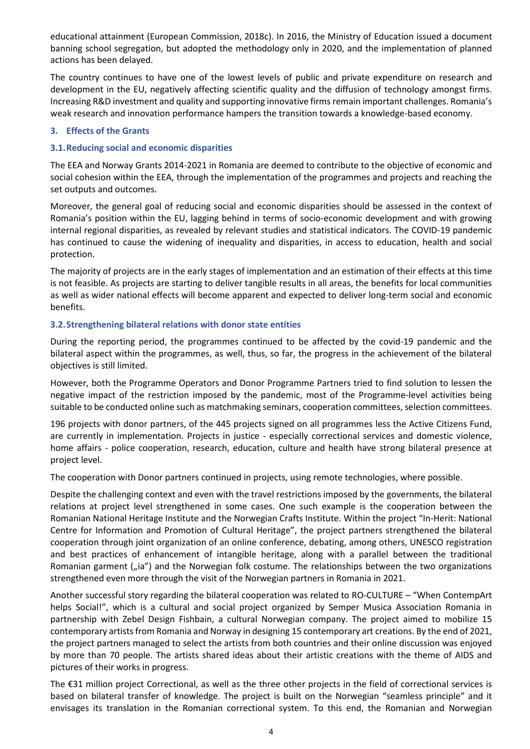educational attainment (European Commission, 2018c). In 2016, the Ministry of Education issued a document banning school segregation, but adopted the methodology only in 2020, and the implementation of planned actions has been delayed.

The country continues to have one of the lowest levels of public and private expenditure on research and development in the EU, negatively affecting scientific quality and the diffusion of technology amongst firms. Increasing R&D investment and quality and supporting innovative firms remain important challenges. Romania's weak research and innovation performance hampers the transition towards a knowledge-based economy.

### **3. Effects of the Grants**

# **3.1.Reducing social and economic disparities**

The EEA and Norway Grants 2014-2021 in Romania are deemed to contribute to the objective of economic and social cohesion within the EEA, through the implementation of the programmes and projects and reaching the set outputs and outcomes.

Moreover, the general goal of reducing social and economic disparities should be assessed in the context of Romania's position within the EU, lagging behind in terms of socio-economic development and with growing internal regional disparities, as revealed by relevant studies and statistical indicators. The COVID-19 pandemic has continued to cause the widening of inequality and disparities, in access to education, health and social protection.

The majority of projects are in the early stages of implementation and an estimation of their effects at this time is not feasible. As projects are starting to deliver tangible results in all areas, the benefits for local communities as well as wider national effects will become apparent and expected to deliver long-term social and economic benefits.

# **3.2.Strengthening bilateral relations with donor state entities**

During the reporting period, the programmes continued to be affected by the covid-19 pandemic and the bilateral aspect within the programmes, as well, thus, so far, the progress in the achievement of the bilateral objectives is still limited.

However, both the Programme Operators and Donor Programme Partners tried to find solution to lessen the negative impact of the restriction imposed by the pandemic, most of the Programme-level activities being suitable to be conducted online such as matchmaking seminars, cooperation committees, selection committees.

196 projects with donor partners, of the 445 projects signed on all programmes less the Active Citizens Fund, are currently in implementation. Projects in justice - especially correctional services and domestic violence, home affairs - police cooperation, research, education, culture and health have strong bilateral presence at project level.

The cooperation with Donor partners continued in projects, using remote technologies, where possible.

Despite the challenging context and even with the travel restrictions imposed by the governments, the bilateral relations at project level strengthened in some cases. One such example is the cooperation between the Romanian National Heritage Institute and the Norwegian Crafts Institute. Within the project "In-Herit: National Centre for Information and Promotion of Cultural Heritage", the project partners strengthened the bilateral cooperation through joint organization of an online conference, debating, among others, UNESCO registration and best practices of enhancement of intangible heritage, along with a parallel between the traditional Romanian garment ("ia") and the Norwegian folk costume. The relationships between the two organizations strengthened even more through the visit of the Norwegian partners in Romania in 2021.

Another successful story regarding the bilateral cooperation was related to RO-CULTURE – "When ContempArt helps Social!", which is a cultural and social project organized by Semper Musica Association Romania in partnership with Zebel Design Fishbain, a cultural Norwegian company. The project aimed to mobilize 15 contemporary artists from Romania and Norway in designing 15 contemporary art creations. By the end of 2021, the project partners managed to select the artists from both countries and their online discussion was enjoyed by more than 70 people. The artists shared ideas about their artistic creations with the theme of AIDS and pictures of their works in progress.

The €31 million project Correctional, as well as the three other projects in the field of correctional services is based on bilateral transfer of knowledge. The project is built on the Norwegian "seamless principle" and it envisages its translation in the Romanian correctional system. To this end, the Romanian and Norwegian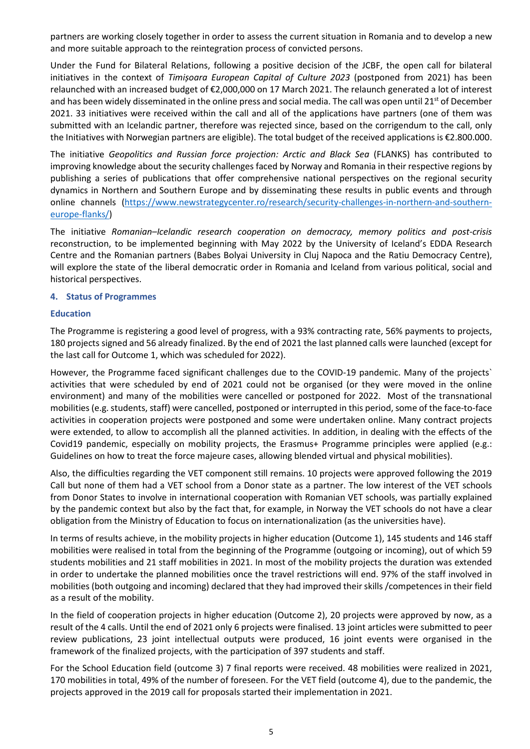partners are working closely together in order to assess the current situation in Romania and to develop a new and more suitable approach to the reintegration process of convicted persons.

Under the Fund for Bilateral Relations, following a positive decision of the JCBF, the open call for bilateral initiatives in the context of *Timișoara European Capital of Culture 2023* (postponed from 2021) has been relaunched with an increased budget of €2,000,000 on 17 March 2021. The relaunch generated a lot of interest and has been widely disseminated in the online press and social media. The call was open until 21<sup>st</sup> of December 2021. 33 initiatives were received within the call and all of the applications have partners (one of them was submitted with an Icelandic partner, therefore was rejected since, based on the corrigendum to the call, only the Initiatives with Norwegian partners are eligible). The total budget of the received applications is €2.800.000.

The initiative *Geopolitics and Russian force projection: Arctic and Black Sea* (FLANKS) has contributed to improving knowledge about the security challenges faced by Norway and Romania in their respective regions by publishing a series of publications that offer comprehensive national perspectives on the regional security dynamics in Northern and Southern Europe and by disseminating these results in public events and through online channels [\(https://www.newstrategycenter.ro/research/security-challenges-in-northern-and-southern](https://www.newstrategycenter.ro/research/security-challenges-in-northern-and-southern-europe-flanks/)[europe-flanks/\)](https://www.newstrategycenter.ro/research/security-challenges-in-northern-and-southern-europe-flanks/)

The initiative *Romanian–Icelandic research cooperation on democracy, memory politics and post-crisis*  reconstruction, to be implemented beginning with May 2022 by the University of Iceland's EDDA Research Centre and the Romanian partners (Babes Bolyai University in Cluj Napoca and the Ratiu Democracy Centre), will explore the state of the liberal democratic order in Romania and Iceland from various political, social and historical perspectives.

### **4. Status of Programmes**

#### **Education**

The Programme is registering a good level of progress, with a 93% contracting rate, 56% payments to projects, 180 projects signed and 56 already finalized. By the end of 2021 the last planned calls were launched (except for the last call for Outcome 1, which was scheduled for 2022).

However, the Programme faced significant challenges due to the COVID-19 pandemic. Many of the projects` activities that were scheduled by end of 2021 could not be organised (or they were moved in the online environment) and many of the mobilities were cancelled or postponed for 2022. Most of the transnational mobilities (e.g. students, staff) were cancelled, postponed or interrupted in this period, some of the face-to-face activities in cooperation projects were postponed and some were undertaken online. Many contract projects were extended, to allow to accomplish all the planned activities. In addition, in dealing with the effects of the Covid19 pandemic, especially on mobility projects, the Erasmus+ Programme principles were applied (e.g.: Guidelines on how to treat the force majeure cases, allowing blended virtual and physical mobilities).

Also, the difficulties regarding the VET component still remains. 10 projects were approved following the 2019 Call but none of them had a VET school from a Donor state as a partner. The low interest of the VET schools from Donor States to involve in international cooperation with Romanian VET schools, was partially explained by the pandemic context but also by the fact that, for example, in Norway the VET schools do not have a clear obligation from the Ministry of Education to focus on internationalization (as the universities have).

In terms of results achieve, in the mobility projects in higher education (Outcome 1), 145 students and 146 staff mobilities were realised in total from the beginning of the Programme (outgoing or incoming), out of which 59 students mobilities and 21 staff mobilities in 2021. In most of the mobility projects the duration was extended in order to undertake the planned mobilities once the travel restrictions will end. 97% of the staff involved in mobilities (both outgoing and incoming) declared that they had improved their skills /competences in their field as a result of the mobility.

In the field of cooperation projects in higher education (Outcome 2), 20 projects were approved by now, as a result of the 4 calls. Until the end of 2021 only 6 projects were finalised. 13 joint articles were submitted to peer review publications, 23 joint intellectual outputs were produced, 16 joint events were organised in the framework of the finalized projects, with the participation of 397 students and staff.

For the School Education field (outcome 3) 7 final reports were received. 48 mobilities were realized in 2021, 170 mobilities in total, 49% of the number of foreseen. For the VET field (outcome 4), due to the pandemic, the projects approved in the 2019 call for proposals started their implementation in 2021.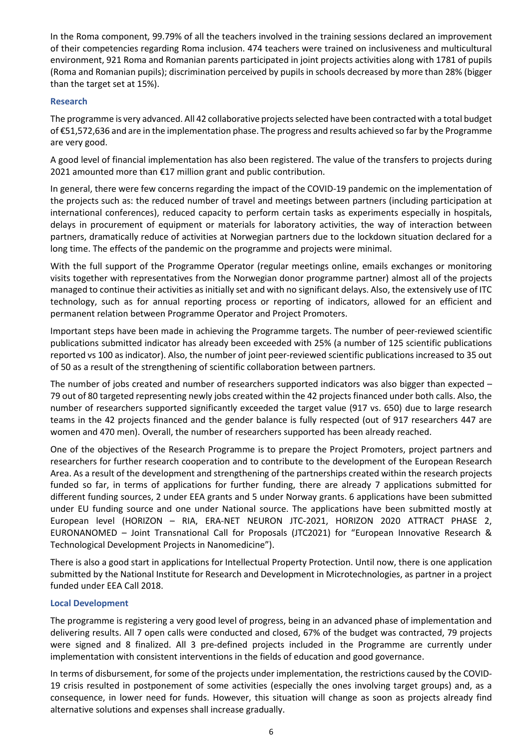In the Roma component, 99.79% of all the teachers involved in the training sessions declared an improvement of their competencies regarding Roma inclusion. 474 teachers were trained on inclusiveness and multicultural environment, 921 Roma and Romanian parents participated in joint projects activities along with 1781 of pupils (Roma and Romanian pupils); discrimination perceived by pupils in schools decreased by more than 28% (bigger than the target set at 15%).

# **Research**

The programme is very advanced. All 42 collaborative projects selected have been contracted with a total budget of €51,572,636 and are in the implementation phase. The progress and results achieved so far by the Programme are very good.

A good level of financial implementation has also been registered. The value of the transfers to projects during 2021 amounted more than €17 million grant and public contribution.

In general, there were few concerns regarding the impact of the COVID-19 pandemic on the implementation of the projects such as: the reduced number of travel and meetings between partners (including participation at international conferences), reduced capacity to perform certain tasks as experiments especially in hospitals, delays in procurement of equipment or materials for laboratory activities, the way of interaction between partners, dramatically reduce of activities at Norwegian partners due to the lockdown situation declared for a long time. The effects of the pandemic on the programme and projects were minimal.

With the full support of the Programme Operator (regular meetings online, emails exchanges or monitoring visits together with representatives from the Norwegian donor programme partner) almost all of the projects managed to continue their activities as initially set and with no significant delays. Also, the extensively use of ITC technology, such as for annual reporting process or reporting of indicators, allowed for an efficient and permanent relation between Programme Operator and Project Promoters.

Important steps have been made in achieving the Programme targets. The number of peer-reviewed scientific publications submitted indicator has already been exceeded with 25% (a number of 125 scientific publications reported vs 100 as indicator). Also, the number of joint peer-reviewed scientific publications increased to 35 out of 50 as a result of the strengthening of scientific collaboration between partners.

The number of jobs created and number of researchers supported indicators was also bigger than expected – 79 out of 80 targeted representing newly jobs created within the 42 projects financed under both calls. Also, the number of researchers supported significantly exceeded the target value (917 vs. 650) due to large research teams in the 42 projects financed and the gender balance is fully respected (out of 917 researchers 447 are women and 470 men). Overall, the number of researchers supported has been already reached.

One of the objectives of the Research Programme is to prepare the Project Promoters, project partners and researchers for further research cooperation and to contribute to the development of the European Research Area. As a result of the development and strengthening of the partnerships created within the research projects funded so far, in terms of applications for further funding, there are already 7 applications submitted for different funding sources, 2 under EEA grants and 5 under Norway grants. 6 applications have been submitted under EU funding source and one under National source. The applications have been submitted mostly at European level (HORIZON – RIA, ERA-NET NEURON JTC-2021, HORIZON 2020 ATTRACT PHASE 2, EURONANOMED – Joint Transnational Call for Proposals (JTC2021) for "European Innovative Research & Technological Development Projects in Nanomedicine").

There is also a good start in applications for Intellectual Property Protection. Until now, there is one application submitted by the National Institute for Research and Development in Microtechnologies, as partner in a project funded under EEA Call 2018.

### **Local Development**

The programme is registering a very good level of progress, being in an advanced phase of implementation and delivering results. All 7 open calls were conducted and closed, 67% of the budget was contracted, 79 projects were signed and 8 finalized. All 3 pre-defined projects included in the Programme are currently under implementation with consistent interventions in the fields of education and good governance.

In terms of disbursement, for some of the projects under implementation, the restrictions caused by the COVID-19 crisis resulted in postponement of some activities (especially the ones involving target groups) and, as a consequence, in lower need for funds. However, this situation will change as soon as projects already find alternative solutions and expenses shall increase gradually.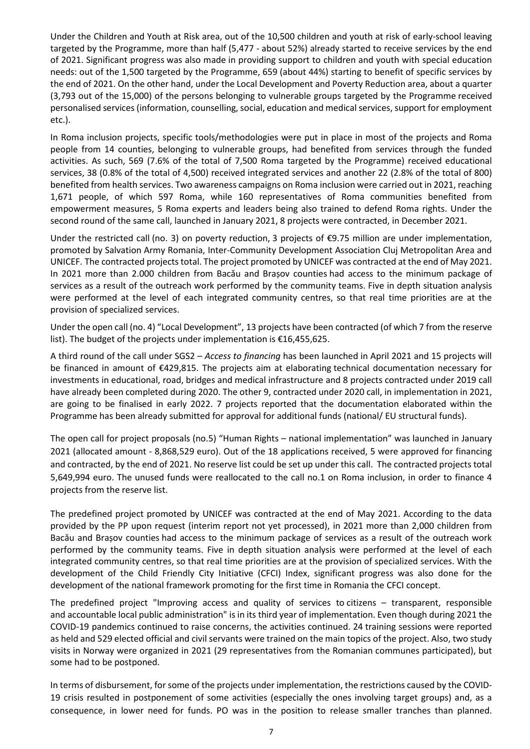Under the Children and Youth at Risk area, out of the 10,500 children and youth at risk of early-school leaving targeted by the Programme, more than half (5,477 - about 52%) already started to receive services by the end of 2021. Significant progress was also made in providing support to children and youth with special education needs: out of the 1,500 targeted by the Programme, 659 (about 44%) starting to benefit of specific services by the end of 2021. On the other hand, under the Local Development and Poverty Reduction area, about a quarter (3,793 out of the 15,000) of the persons belonging to vulnerable groups targeted by the Programme received personalised services (information, counselling, social, education and medical services, support for employment etc.).

In Roma inclusion projects, specific tools/methodologies were put in place in most of the projects and Roma people from 14 counties, belonging to vulnerable groups, had benefited from services through the funded activities. As such, 569 (7.6% of the total of 7,500 Roma targeted by the Programme) received educational services, 38 (0.8% of the total of 4,500) received integrated services and another 22 (2.8% of the total of 800) benefited from health services. Two awareness campaigns on Roma inclusion were carried out in 2021, reaching 1,671 people, of which 597 Roma, while 160 representatives of Roma communities benefited from empowerment measures, 5 Roma experts and leaders being also trained to defend Roma rights. Under the second round of the same call, launched in January 2021, 8 projects were contracted, in December 2021.

Under the restricted call (no. 3) on poverty reduction, 3 projects of €9.75 million are under implementation, promoted by Salvation Army Romania, Inter-Community Development Association Cluj Metropolitan Area and UNICEF. The contracted projects total. The project promoted by UNICEF was contracted at the end of May 2021. In 2021 more than 2.000 children from Bacău and Brașov counties had access to the minimum package of services as a result of the outreach work performed by the community teams. Five in depth situation analysis were performed at the level of each integrated community centres, so that real time priorities are at the provision of specialized services.

Under the open call (no. 4) "Local Development", 13 projects have been contracted (of which 7 from the reserve list). The budget of the projects under implementation is €16,455,625.

A third round of the call under SGS2 – *Access to financing* has been launched in April 2021 and 15 projects will be financed in amount of €429,815. The projects aim at elaborating technical documentation necessary for investments in educational, road, bridges and medical infrastructure and 8 projects contracted under 2019 call have already been completed during 2020. The other 9, contracted under 2020 call, in implementation in 2021, are going to be finalised in early 2022. 7 projects reported that the documentation elaborated within the Programme has been already submitted for approval for additional funds (national/ EU structural funds).

The open call for project proposals (no.5) "Human Rights – national implementation" was launched in January 2021 (allocated amount - 8,868,529 euro). Out of the 18 applications received, 5 were approved for financing and contracted, by the end of 2021. No reserve list could be set up under this call. The contracted projects total 5,649,994 euro. The unused funds were reallocated to the call no.1 on Roma inclusion, in order to finance 4 projects from the reserve list.

The predefined project promoted by UNICEF was contracted at the end of May 2021. According to the data provided by the PP upon request (interim report not yet processed), in 2021 more than 2,000 children from Bacău and Brașov counties had access to the minimum package of services as a result of the outreach work performed by the community teams. Five in depth situation analysis were performed at the level of each integrated community centres, so that real time priorities are at the provision of specialized services. With the development of the Child Friendly City Initiative (CFCI) Index, significant progress was also done for the development of the national framework promoting for the first time in Romania the CFCI concept.

The predefined project "Improving access and quality of services to citizens – transparent, responsible and accountable local public administration" is in its third year of implementation. Even though during 2021 the COVID-19 pandemics continued to raise concerns, the activities continued. 24 training sessions were reported as held and 529 elected official and civil servants were trained on the main topics of the project. Also, two study visits in Norway were organized in 2021 (29 representatives from the Romanian communes participated), but some had to be postponed.

In terms of disbursement, for some of the projects under implementation, the restrictions caused by the COVID-19 crisis resulted in postponement of some activities (especially the ones involving target groups) and, as a consequence, in lower need for funds. PO was in the position to release smaller tranches than planned.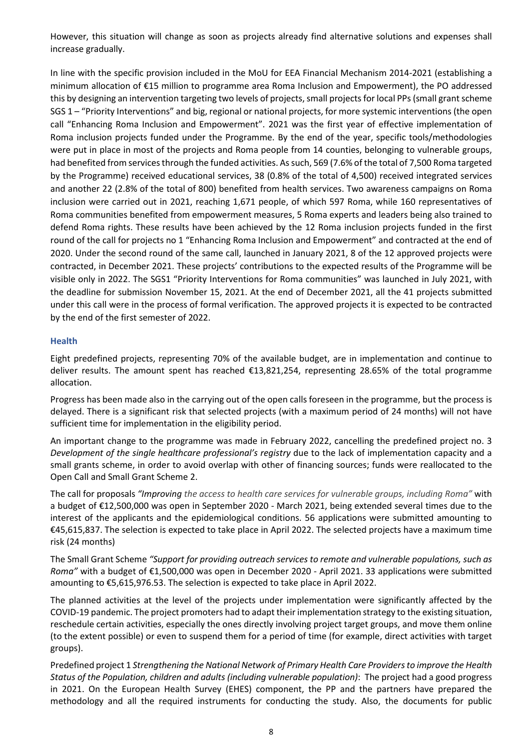However, this situation will change as soon as projects already find alternative solutions and expenses shall increase gradually.

In line with the specific provision included in the MoU for EEA Financial Mechanism 2014-2021 (establishing a minimum allocation of €15 million to programme area Roma Inclusion and Empowerment), the PO addressed this by designing an intervention targeting two levels of projects, small projects for local PPs (small grant scheme SGS 1 – "Priority Interventions" and big, regional or national projects, for more systemic interventions (the open call "Enhancing Roma Inclusion and Empowerment". 2021 was the first year of effective implementation of Roma inclusion projects funded under the Programme. By the end of the year, specific tools/methodologies were put in place in most of the projects and Roma people from 14 counties, belonging to vulnerable groups, had benefited from services through the funded activities. As such, 569 (7.6% of the total of 7,500 Roma targeted by the Programme) received educational services, 38 (0.8% of the total of 4,500) received integrated services and another 22 (2.8% of the total of 800) benefited from health services. Two awareness campaigns on Roma inclusion were carried out in 2021, reaching 1,671 people, of which 597 Roma, while 160 representatives of Roma communities benefited from empowerment measures, 5 Roma experts and leaders being also trained to defend Roma rights. These results have been achieved by the 12 Roma inclusion projects funded in the first round of the call for projects no 1 "Enhancing Roma Inclusion and Empowerment" and contracted at the end of 2020. Under the second round of the same call, launched in January 2021, 8 of the 12 approved projects were contracted, in December 2021. These projects' contributions to the expected results of the Programme will be visible only in 2022. The SGS1 "Priority Interventions for Roma communities" was launched in July 2021, with the deadline for submission November 15, 2021. At the end of December 2021, all the 41 projects submitted under this call were in the process of formal verification. The approved projects it is expected to be contracted by the end of the first semester of 2022.

#### **Health**

Eight predefined projects, representing 70% of the available budget, are in implementation and continue to deliver results. The amount spent has reached €13,821,254, representing 28.65% of the total programme allocation.

Progress has been made also in the carrying out of the open calls foreseen in the programme, but the process is delayed. There is a significant risk that selected projects (with a maximum period of 24 months) will not have sufficient time for implementation in the eligibility period.

An important change to the programme was made in February 2022, cancelling the predefined project no. 3 *Development of the single healthcare professional's registry* due to the lack of implementation capacity and a small grants scheme, in order to avoid overlap with other of financing sources; funds were reallocated to the Open Call and Small Grant Scheme 2.

The call for proposals *"Improving the access to health care services for vulnerable groups, including Roma"* with a budget of €12,500,000 was open in September 2020 - March 2021, being extended several times due to the interest of the applicants and the epidemiological conditions. 56 applications were submitted amounting to €45,615,837. The selection is expected to take place in April 2022. The selected projects have a maximum time risk (24 months)

The Small Grant Scheme *"Support for providing outreach services to remote and vulnerable populations, such as Roma"* with a budget of €1,500,000 was open in December 2020 - April 2021. 33 applications were submitted amounting to €5,615,976.53. The selection is expected to take place in April 2022.

The planned activities at the level of the projects under implementation were significantly affected by the COVID-19 pandemic. The project promoters had to adapt their implementation strategy to the existing situation, reschedule certain activities, especially the ones directly involving project target groups, and move them online (to the extent possible) or even to suspend them for a period of time (for example, direct activities with target groups).

Predefined project 1 *Strengthening the National Network of Primary Health Care Providers to improve the Health Status of the Population, children and adults (including vulnerable population)*: The project had a good progress in 2021. On the European Health Survey (EHES) component, the PP and the partners have prepared the methodology and all the required instruments for conducting the study. Also, the documents for public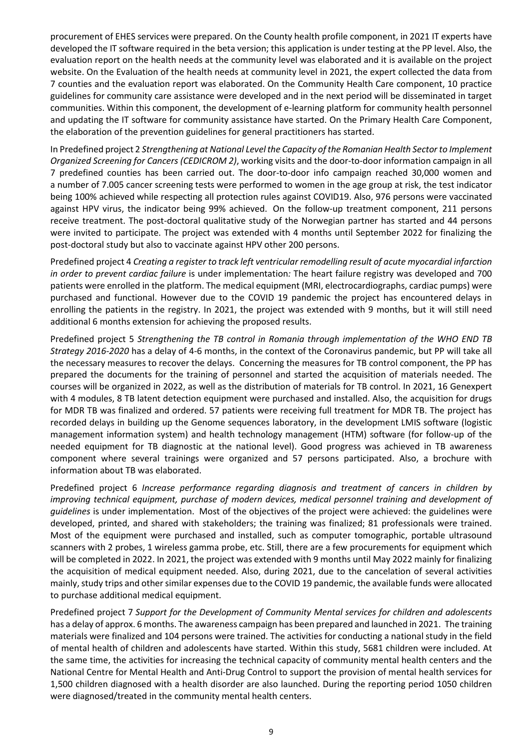procurement of EHES services were prepared. On the County health profile component, in 2021 IT experts have developed the IT software required in the beta version; this application is under testing at the PP level. Also, the evaluation report on the health needs at the community level was elaborated and it is available on the project website. On the Evaluation of the health needs at community level in 2021, the expert collected the data from 7 counties and the evaluation report was elaborated. On the Community Health Care component, 10 practice guidelines for community care assistance were developed and in the next period will be disseminated in target communities. Within this component, the development of e-learning platform for community health personnel and updating the IT software for community assistance have started. On the Primary Health Care Component, the elaboration of the prevention guidelines for general practitioners has started.

In Predefined project 2 *Strengthening at National Level the Capacity of the Romanian Health Sector to Implement Organized Screening for Cancers (CEDICROM 2)*, working visits and the door-to-door information campaign in all 7 predefined counties has been carried out. The door-to-door info campaign reached 30,000 women and a number of 7.005 cancer screening tests were performed to women in the age group at risk, the test indicator being 100% achieved while respecting all protection rules against COVID19. Also, 976 persons were vaccinated against HPV virus, the indicator being 99% achieved. On the follow-up treatment component, 211 persons receive treatment. The post-doctoral qualitative study of the Norwegian partner has started and 44 persons were invited to participate. The project was extended with 4 months until September 2022 for finalizing the post-doctoral study but also to vaccinate against HPV other 200 persons.

Predefined project 4 *Creating a register to track left ventricular remodelling result of acute myocardial infarction in order to prevent cardiac failure* is under implementation*:* The heart failure registry was developed and 700 patients were enrolled in the platform. The medical equipment (MRI, electrocardiographs, cardiac pumps) were purchased and functional. However due to the COVID 19 pandemic the project has encountered delays in enrolling the patients in the registry. In 2021, the project was extended with 9 months, but it will still need additional 6 months extension for achieving the proposed results.

Predefined project 5 *Strengthening the TB control in Romania through implementation of the WHO END TB Strategy 2016-2020* has a delay of 4-6 months, in the context of the Coronavirus pandemic, but PP will take all the necessary measures to recover the delays. Concerning the measures for TB control component, the PP has prepared the documents for the training of personnel and started the acquisition of materials needed. The courses will be organized in 2022, as well as the distribution of materials for TB control. In 2021, 16 Genexpert with 4 modules, 8 TB latent detection equipment were purchased and installed. Also, the acquisition for drugs for MDR TB was finalized and ordered. 57 patients were receiving full treatment for MDR TB. The project has recorded delays in building up the Genome sequences laboratory, in the development LMIS software (logistic management information system) and health technology management (HTM) software (for follow-up of the needed equipment for TB diagnostic at the national level). Good progress was achieved in TB awareness component where several trainings were organized and 57 persons participated. Also, a brochure with information about TB was elaborated.

Predefined project 6 *Increase performance regarding diagnosis and treatment of cancers in children by improving technical equipment, purchase of modern devices, medical personnel training and development of guidelines* is under implementation. Most of the objectives of the project were achieved: the guidelines were developed, printed, and shared with stakeholders; the training was finalized; 81 professionals were trained. Most of the equipment were purchased and installed, such as computer tomographic, portable ultrasound scanners with 2 probes, 1 wireless gamma probe, etc. Still, there are a few procurements for equipment which will be completed in 2022. In 2021, the project was extended with 9 months until May 2022 mainly for finalizing the acquisition of medical equipment needed. Also, during 2021, due to the cancelation of several activities mainly, study trips and other similar expenses due to the COVID 19 pandemic, the available funds were allocated to purchase additional medical equipment.

Predefined project 7 *Support for the Development of Community Mental services for children and adolescents*  has a delay of approx. 6 months. The awareness campaign has been prepared and launched in 2021. The training materials were finalized and 104 persons were trained. The activities for conducting a national study in the field of mental health of children and adolescents have started. Within this study, 5681 children were included. At the same time, the activities for increasing the technical capacity of community mental health centers and the National Centre for Mental Health and Anti-Drug Control to support the provision of mental health services for 1,500 children diagnosed with a health disorder are also launched. During the reporting period 1050 children were diagnosed/treated in the community mental health centers.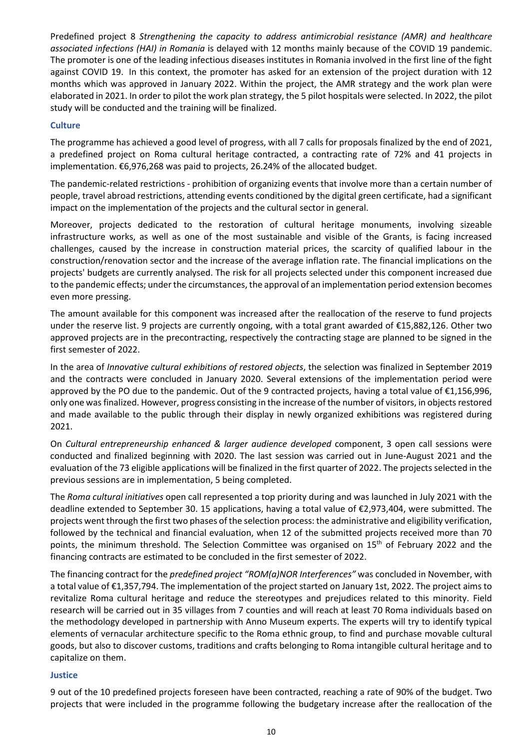Predefined project 8 *Strengthening the capacity to address antimicrobial resistance (AMR) and healthcare associated infections (HAI) in Romania* is delayed with 12 months mainly because of the COVID 19 pandemic. The promoter is one of the leading infectious diseases institutes in Romania involved in the first line of the fight against COVID 19. In this context, the promoter has asked for an extension of the project duration with 12 months which was approved in January 2022. Within the project, the AMR strategy and the work plan were elaborated in 2021. In order to pilot the work plan strategy, the 5 pilot hospitals were selected. In 2022, the pilot study will be conducted and the training will be finalized.

# **Culture**

The programme has achieved a good level of progress, with all 7 calls for proposals finalized by the end of 2021, a predefined project on Roma cultural heritage contracted, a contracting rate of 72% and 41 projects in implementation. €6,976,268 was paid to projects, 26.24% of the allocated budget.

The pandemic-related restrictions - prohibition of organizing events that involve more than a certain number of people, travel abroad restrictions, attending events conditioned by the digital green certificate, had a significant impact on the implementation of the projects and the cultural sector in general.

Moreover, projects dedicated to the restoration of cultural heritage monuments, involving sizeable infrastructure works, as well as one of the most sustainable and visible of the Grants, is facing increased challenges, caused by the increase in construction material prices, the scarcity of qualified labour in the construction/renovation sector and the increase of the average inflation rate. The financial implications on the projects' budgets are currently analysed. The risk for all projects selected under this component increased due to the pandemic effects; under the circumstances, the approval of an implementation period extension becomes even more pressing.

The amount available for this component was increased after the reallocation of the reserve to fund projects under the reserve list. 9 projects are currently ongoing, with a total grant awarded of €15,882,126. Other two approved projects are in the precontracting, respectively the contracting stage are planned to be signed in the first semester of 2022.

In the area of *Innovative cultural exhibitions of restored objects*, the selection was finalized in September 2019 and the contracts were concluded in January 2020. Several extensions of the implementation period were approved by the PO due to the pandemic. Out of the 9 contracted projects, having a total value of €1,156,996, only one was finalized. However, progress consisting in the increase of the number of visitors, in objects restored and made available to the public through their display in newly organized exhibitions was registered during 2021.

On *Cultural entrepreneurship enhanced & larger audience developed* component, 3 open call sessions were conducted and finalized beginning with 2020. The last session was carried out in June-August 2021 and the evaluation of the 73 eligible applications will be finalized in the first quarter of 2022. The projects selected in the previous sessions are in implementation, 5 being completed.

The *Roma cultural initiatives* open call represented a top priority during and was launched in July 2021 with the deadline extended to September 30. 15 applications, having a total value of €2,973,404, were submitted. The projects went through the first two phases of the selection process: the administrative and eligibility verification, followed by the technical and financial evaluation, when 12 of the submitted projects received more than 70 points, the minimum threshold. The Selection Committee was organised on 15<sup>th</sup> of February 2022 and the financing contracts are estimated to be concluded in the first semester of 2022.

The financing contract for the *predefined project "ROM(a)NOR Interferences"* was concluded in November, with a total value of €1,357,794. The implementation of the project started on January 1st, 2022. The project aims to revitalize Roma cultural heritage and reduce the stereotypes and prejudices related to this minority. Field research will be carried out in 35 villages from 7 counties and will reach at least 70 Roma individuals based on the methodology developed in partnership with Anno Museum experts. The experts will try to identify typical elements of vernacular architecture specific to the Roma ethnic group, to find and purchase movable cultural goods, but also to discover customs, traditions and crafts belonging to Roma intangible cultural heritage and to capitalize on them.

### **Justice**

9 out of the 10 predefined projects foreseen have been contracted, reaching a rate of 90% of the budget. Two projects that were included in the programme following the budgetary increase after the reallocation of the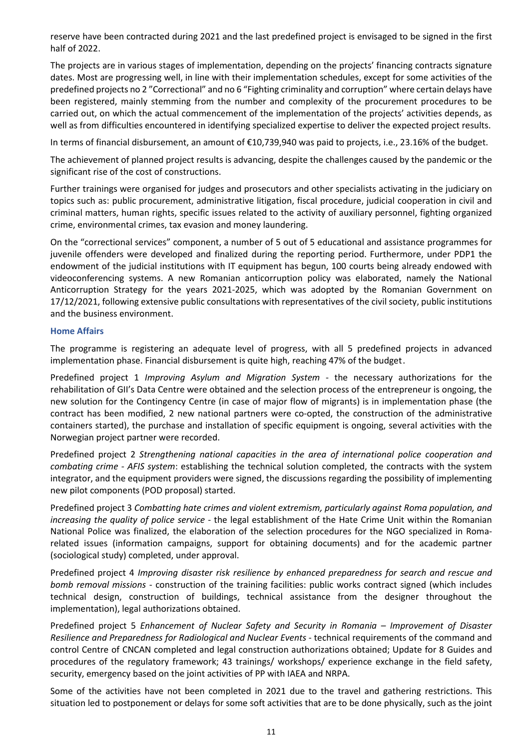reserve have been contracted during 2021 and the last predefined project is envisaged to be signed in the first half of 2022.

The projects are in various stages of implementation, depending on the projects' financing contracts signature dates. Most are progressing well, in line with their implementation schedules, except for some activities of the predefined projects no 2 "Correctional" and no 6 "Fighting criminality and corruption" where certain delays have been registered, mainly stemming from the number and complexity of the procurement procedures to be carried out, on which the actual commencement of the implementation of the projects' activities depends, as well as from difficulties encountered in identifying specialized expertise to deliver the expected project results.

In terms of financial disbursement, an amount of €10,739,940 was paid to projects, i.e., 23.16% of the budget.

The achievement of planned project results is advancing, despite the challenges caused by the pandemic or the significant rise of the cost of constructions.

Further trainings were organised for judges and prosecutors and other specialists activating in the judiciary on topics such as: public procurement, administrative litigation, fiscal procedure, judicial cooperation in civil and criminal matters, human rights, specific issues related to the activity of auxiliary personnel, fighting organized crime, environmental crimes, tax evasion and money laundering.

On the "correctional services" component, a number of 5 out of 5 educational and assistance programmes for juvenile offenders were developed and finalized during the reporting period. Furthermore, under PDP1 the endowment of the judicial institutions with IT equipment has begun, 100 courts being already endowed with videoconferencing systems. A new Romanian anticorruption policy was elaborated, namely the National Anticorruption Strategy for the years 2021-2025, which was adopted by the Romanian Government on 17/12/2021, following extensive public consultations with representatives of the civil society, public institutions and the business environment.

### **Home Affairs**

The programme is registering an adequate level of progress, with all 5 predefined projects in advanced implementation phase. Financial disbursement is quite high, reaching 47% of the budget.

Predefined project 1 *Improving Asylum and Migration System* - the necessary authorizations for the rehabilitation of GII's Data Centre were obtained and the selection process of the entrepreneur is ongoing, the new solution for the Contingency Centre (in case of major flow of migrants) is in implementation phase (the contract has been modified, 2 new national partners were co-opted, the construction of the administrative containers started), the purchase and installation of specific equipment is ongoing, several activities with the Norwegian project partner were recorded.

Predefined project 2 *Strengthening national capacities in the area of international police cooperation and combating crime - AFIS system*: establishing the technical solution completed, the contracts with the system integrator, and the equipment providers were signed, the discussions regarding the possibility of implementing new pilot components (POD proposal) started.

Predefined project 3 *Combatting hate crimes and violent extremism, particularly against Roma population, and increasing the quality of police service* - the legal establishment of the Hate Crime Unit within the Romanian National Police was finalized, the elaboration of the selection procedures for the NGO specialized in Romarelated issues (information campaigns, support for obtaining documents) and for the academic partner (sociological study) completed, under approval.

Predefined project 4 *Improving disaster risk resilience by enhanced preparedness for search and rescue and bomb removal missions* - construction of the training facilities: public works contract signed (which includes technical design, construction of buildings, technical assistance from the designer throughout the implementation), legal authorizations obtained.

Predefined project 5 *Enhancement of Nuclear Safety and Security in Romania – Improvement of Disaster Resilience and Preparedness for Radiological and Nuclear Events* - technical requirements of the command and control Centre of CNCAN completed and legal construction authorizations obtained; Update for 8 Guides and procedures of the regulatory framework; 43 trainings/ workshops/ experience exchange in the field safety, security, emergency based on the joint activities of PP with IAEA and NRPA.

Some of the activities have not been completed in 2021 due to the travel and gathering restrictions. This situation led to postponement or delays for some soft activities that are to be done physically, such as the joint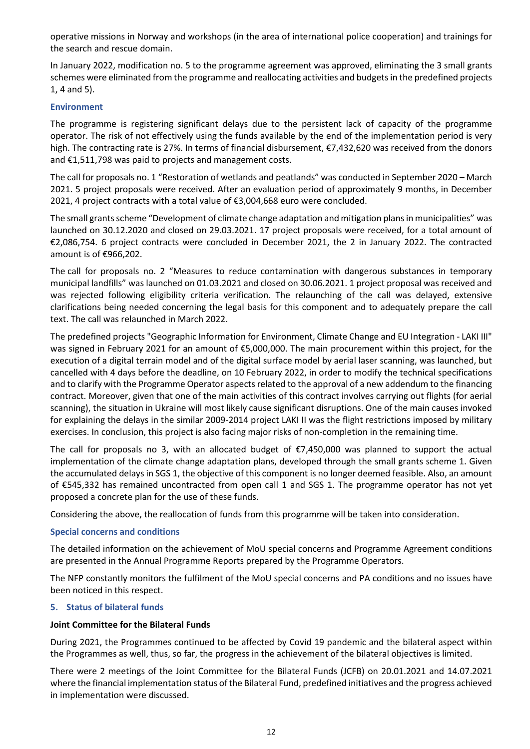operative missions in Norway and workshops (in the area of international police cooperation) and trainings for the search and rescue domain.

In January 2022, modification no. 5 to the programme agreement was approved, eliminating the 3 small grants schemes were eliminated from the programme and reallocating activities and budgets in the predefined projects 1, 4 and 5).

# **Environment**

The programme is registering significant delays due to the persistent lack of capacity of the programme operator. The risk of not effectively using the funds available by the end of the implementation period is very high. The contracting rate is 27%. In terms of financial disbursement, €7,432,620 was received from the donors and €1,511,798 was paid to projects and management costs.

The call for proposals no. 1 "Restoration of wetlands and peatlands" was conducted in September 2020 – March 2021. 5 project proposals were received. After an evaluation period of approximately 9 months, in December 2021, 4 project contracts with a total value of €3,004,668 euro were concluded.

The small grants scheme "Development of climate change adaptation and mitigation plans in municipalities" was launched on 30.12.2020 and closed on 29.03.2021. 17 project proposals were received, for a total amount of €2,086,754. 6 project contracts were concluded in December 2021, the 2 in January 2022. The contracted amount is of €966,202.

The call for proposals no. 2 "Measures to reduce contamination with dangerous substances in temporary municipal landfills" was launched on 01.03.2021 and closed on 30.06.2021. 1 project proposal was received and was rejected following eligibility criteria verification. The relaunching of the call was delayed, extensive clarifications being needed concerning the legal basis for this component and to adequately prepare the call text. The call was relaunched in March 2022.

The predefined projects "Geographic Information for Environment, Climate Change and EU Integration - LAKI III" was signed in February 2021 for an amount of €5,000,000. The main procurement within this project, for the execution of a digital terrain model and of the digital surface model by aerial laser scanning, was launched, but cancelled with 4 days before the deadline, on 10 February 2022, in order to modify the technical specifications and to clarify with the Programme Operator aspects related to the approval of a new addendum to the financing contract. Moreover, given that one of the main activities of this contract involves carrying out flights (for aerial scanning), the situation in Ukraine will most likely cause significant disruptions. One of the main causes invoked for explaining the delays in the similar 2009-2014 project LAKI II was the flight restrictions imposed by military exercises. In conclusion, this project is also facing major risks of non-completion in the remaining time.

The call for proposals no 3, with an allocated budget of  $\epsilon$ 7,450,000 was planned to support the actual implementation of the climate change adaptation plans, developed through the small grants scheme 1. Given the accumulated delays in SGS 1, the objective of this component is no longer deemed feasible. Also, an amount of €545,332 has remained uncontracted from open call 1 and SGS 1. The programme operator has not yet proposed a concrete plan for the use of these funds.

Considering the above, the reallocation of funds from this programme will be taken into consideration.

### **Special concerns and conditions**

The detailed information on the achievement of MoU special concerns and Programme Agreement conditions are presented in the Annual Programme Reports prepared by the Programme Operators.

The NFP constantly monitors the fulfilment of the MoU special concerns and PA conditions and no issues have been noticed in this respect.

### **5. Status of bilateral funds**

# **Joint Committee for the Bilateral Funds**

During 2021, the Programmes continued to be affected by Covid 19 pandemic and the bilateral aspect within the Programmes as well, thus, so far, the progress in the achievement of the bilateral objectives is limited.

There were 2 meetings of the Joint Committee for the Bilateral Funds (JCFB) on 20.01.2021 and 14.07.2021 where the financial implementation status of the Bilateral Fund, predefined initiatives and the progress achieved in implementation were discussed.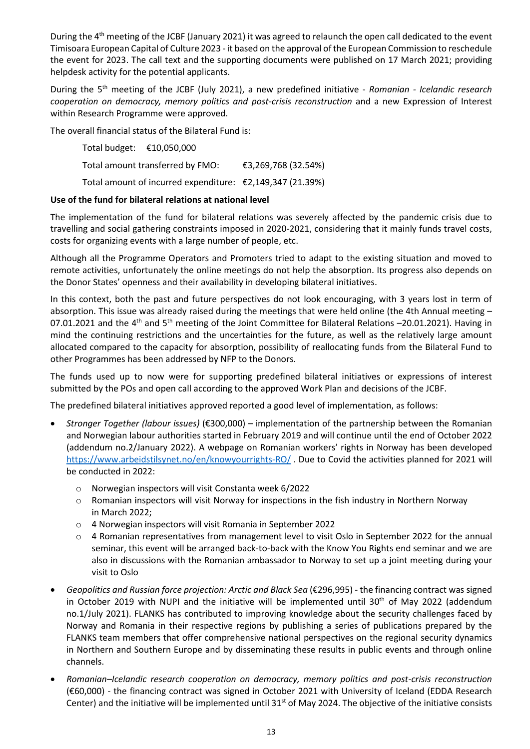During the 4<sup>th</sup> meeting of the JCBF (January 2021) it was agreed to relaunch the open call dedicated to the event Timisoara European Capital of Culture 2023 - it based on the approval of the European Commission to reschedule the event for 2023. The call text and the supporting documents were published on 17 March 2021; providing helpdesk activity for the potential applicants.

During the 5th meeting of the JCBF (July 2021), a new predefined initiative - *Romanian - Icelandic research cooperation on democracy, memory politics and post-crisis reconstruction* and a new Expression of Interest within Research Programme were approved.

The overall financial status of the Bilateral Fund is:

Total budget: €10,050,000 Total amount transferred by FMO: €3,269,768 (32.54%) Total amount of incurred expenditure: €2,149,347 (21.39%)

# **Use of the fund for bilateral relations at national level**

The implementation of the fund for bilateral relations was severely affected by the pandemic crisis due to travelling and social gathering constraints imposed in 2020-2021, considering that it mainly funds travel costs, costs for organizing events with a large number of people, etc.

Although all the Programme Operators and Promoters tried to adapt to the existing situation and moved to remote activities, unfortunately the online meetings do not help the absorption. Its progress also depends on the Donor States' openness and their availability in developing bilateral initiatives.

In this context, both the past and future perspectives do not look encouraging, with 3 years lost in term of absorption. This issue was already raised during the meetings that were held online (the 4th Annual meeting – 07.01.2021 and the 4<sup>th</sup> and 5<sup>th</sup> meeting of the Joint Committee for Bilateral Relations –20.01.2021). Having in mind the continuing restrictions and the uncertainties for the future, as well as the relatively large amount allocated compared to the capacity for absorption, possibility of reallocating funds from the Bilateral Fund to other Programmes has been addressed by NFP to the Donors.

The funds used up to now were for supporting predefined bilateral initiatives or expressions of interest submitted by the POs and open call according to the approved Work Plan and decisions of the JCBF.

The predefined bilateral initiatives approved reported a good level of implementation, as follows:

- *Stronger Together (labour issues)* (€300,000) implementation of the partnership between the Romanian and Norwegian labour authorities started in February 2019 and will continue until the end of October 2022 (addendum no.2/January 2022). A webpage on Romanian workers' rights in Norway has been developed <https://www.arbeidstilsynet.no/en/knowyourrights-RO/> . Due to Covid the activities planned for 2021 will be conducted in 2022:
	- o Norwegian inspectors will visit Constanta week 6/2022
	- o Romanian inspectors will visit Norway for inspections in the fish industry in Northern Norway in March 2022;
	- o 4 Norwegian inspectors will visit Romania in September 2022
	- $\circ$  4 Romanian representatives from management level to visit Oslo in September 2022 for the annual seminar, this event will be arranged back-to-back with the Know You Rights end seminar and we are also in discussions with the Romanian ambassador to Norway to set up a joint meeting during your visit to Oslo
- *Geopolitics and Russian force projection: Arctic and Black Sea* (€296,995) the financing contract was signed in October 2019 with NUPI and the initiative will be implemented until  $30<sup>th</sup>$  of May 2022 (addendum no.1/July 2021). FLANKS has contributed to improving knowledge about the security challenges faced by Norway and Romania in their respective regions by publishing a series of publications prepared by the FLANKS team members that offer comprehensive national perspectives on the regional security dynamics in Northern and Southern Europe and by disseminating these results in public events and through online channels.
- *Romanian–Icelandic research cooperation on democracy, memory politics and post-crisis reconstruction*  (€60,000) - the financing contract was signed in October 2021 with University of Iceland (EDDA Research Center) and the initiative will be implemented until  $31<sup>st</sup>$  of May 2024. The objective of the initiative consists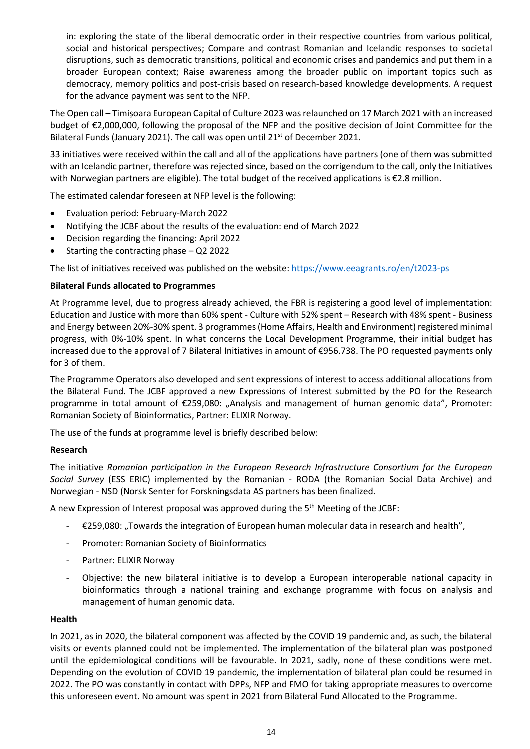in: exploring the state of the liberal democratic order in their respective countries from various political, social and historical perspectives; Compare and contrast Romanian and Icelandic responses to societal disruptions, such as democratic transitions, political and economic crises and pandemics and put them in a broader European context; Raise awareness among the broader public on important topics such as democracy, memory politics and post-crisis based on research-based knowledge developments. A request for the advance payment was sent to the NFP.

The Open call – Timișoara European Capital of Culture 2023 was relaunched on 17 March 2021 with an increased budget of €2,000,000, following the proposal of the NFP and the positive decision of Joint Committee for the Bilateral Funds (January 2021). The call was open until 21<sup>st</sup> of December 2021.

33 initiatives were received within the call and all of the applications have partners (one of them was submitted with an Icelandic partner, therefore was rejected since, based on the corrigendum to the call, only the Initiatives with Norwegian partners are eligible). The total budget of the received applications is €2.8 million.

The estimated calendar foreseen at NFP level is the following:

- Evaluation period: February-March 2022
- Notifying the JCBF about the results of the evaluation: end of March 2022
- Decision regarding the financing: April 2022
- Starting the contracting phase  $-$  Q2 2022

The list of initiatives received was published on the website[: https://www.eeagrants.ro/en/t2023-ps](https://www.eeagrants.ro/en/t2023-ps)

### **Bilateral Funds allocated to Programmes**

At Programme level, due to progress already achieved, the FBR is registering a good level of implementation: Education and Justice with more than 60% spent - Culture with 52% spent – Research with 48% spent - Business and Energy between 20%-30% spent. 3 programmes (Home Affairs, Health and Environment) registered minimal progress, with 0%-10% spent. In what concerns the Local Development Programme, their initial budget has increased due to the approval of 7 Bilateral Initiatives in amount of €956.738. The PO requested payments only for 3 of them.

The Programme Operators also developed and sent expressions of interest to access additional allocations from the Bilateral Fund. The JCBF approved a new Expressions of Interest submitted by the PO for the Research programme in total amount of €259,080: "Analysis and management of human genomic data", Promoter: Romanian Society of Bioinformatics, Partner: ELIXIR Norway.

The use of the funds at programme level is briefly described below:

#### **Research**

The initiative *Romanian participation in the European Research Infrastructure Consortium for the European Social Survey* (ESS ERIC) implemented by the Romanian - RODA (the Romanian Social Data Archive) and Norwegian - NSD (Norsk Senter for Forskningsdata AS partners has been finalized.

A new Expression of Interest proposal was approved during the 5th Meeting of the JCBF:

- $\epsilon$   $\epsilon$ 259,080: "Towards the integration of European human molecular data in research and health",
- Promoter: Romanian Society of Bioinformatics
- Partner: ELIXIR Norway
- Objective: the new bilateral initiative is to develop a European interoperable national capacity in bioinformatics through a national training and exchange programme with focus on analysis and management of human genomic data.

### **Health**

In 2021, as in 2020, the bilateral component was affected by the COVID 19 pandemic and, as such, the bilateral visits or events planned could not be implemented. The implementation of the bilateral plan was postponed until the epidemiological conditions will be favourable. In 2021, sadly, none of these conditions were met. Depending on the evolution of COVID 19 pandemic, the implementation of bilateral plan could be resumed in 2022. The PO was constantly in contact with DPPs, NFP and FMO for taking appropriate measures to overcome this unforeseen event. No amount was spent in 2021 from Bilateral Fund Allocated to the Programme.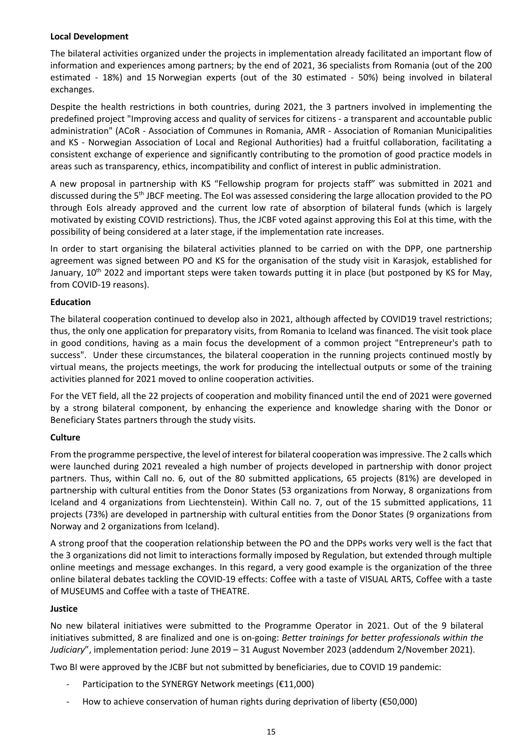# **Local Development**

The bilateral activities organized under the projects in implementation already facilitated an important flow of information and experiences among partners; by the end of 2021, 36 specialists from Romania (out of the 200 estimated - 18%) and 15 Norwegian experts (out of the 30 estimated - 50%) being involved in bilateral exchanges.

Despite the health restrictions in both countries, during 2021, the 3 partners involved in implementing the predefined project "Improving access and quality of services for citizens - a transparent and accountable public administration" (ACoR - Association of Communes in Romania, AMR - Association of Romanian Municipalities and KS - Norwegian Association of Local and Regional Authorities) had a fruitful collaboration, facilitating a consistent exchange of experience and significantly contributing to the promotion of good practice models in areas such as transparency, ethics, incompatibility and conflict of interest in public administration.

A new proposal in partnership with KS "Fellowship program for projects staff" was submitted in 2021 and discussed during the 5th JBCF meeting. The EoI was assessed considering the large allocation provided to the PO through EoIs already approved and the current low rate of absorption of bilateral funds (which is largely motivated by existing COVID restrictions). Thus, the JCBF voted against approving this EoI at this time, with the possibility of being considered at a later stage, if the implementation rate increases.

In order to start organising the bilateral activities planned to be carried on with the DPP, one partnership agreement was signed between PO and KS for the organisation of the study visit in Karasjok, established for January, 10<sup>th</sup> 2022 and important steps were taken towards putting it in place (but postponed by KS for May, from COVID-19 reasons).

# **Education**

The bilateral cooperation continued to develop also in 2021, although affected by COVID19 travel restrictions; thus, the only one application for preparatory visits, from Romania to Iceland was financed. The visit took place in good conditions, having as a main focus the development of a common project "Entrepreneur's path to success". Under these circumstances, the bilateral cooperation in the running projects continued mostly by virtual means, the projects meetings, the work for producing the intellectual outputs or some of the training activities planned for 2021 moved to online cooperation activities.

For the VET field, all the 22 projects of cooperation and mobility financed until the end of 2021 were governed by a strong bilateral component, by enhancing the experience and knowledge sharing with the Donor or Beneficiary States partners through the study visits.

# **Culture**

From the programme perspective, the level of interest for bilateral cooperation was impressive. The 2 calls which were launched during 2021 revealed a high number of projects developed in partnership with donor project partners. Thus, within Call no. 6, out of the 80 submitted applications, 65 projects (81%) are developed in partnership with cultural entities from the Donor States (53 organizations from Norway, 8 organizations from Iceland and 4 organizations from Liechtenstein). Within Call no. 7, out of the 15 submitted applications, 11 projects (73%) are developed in partnership with cultural entities from the Donor States (9 organizations from Norway and 2 organizations from Iceland).

A strong proof that the cooperation relationship between the PO and the DPPs works very well is the fact that the 3 organizations did not limit to interactions formally imposed by Regulation, but extended through multiple online meetings and message exchanges. In this regard, a very good example is the organization of the three online bilateral debates tackling the COVID-19 effects: Coffee with a taste of VISUAL ARTS, Coffee with a taste of MUSEUMS and Coffee with a taste of THEATRE.

### **Justice**

No new bilateral initiatives were submitted to the Programme Operator in 2021. Out of the 9 bilateral initiatives submitted, 8 are finalized and one is on-going: *Better trainings for better professionals within the Judiciary*", implementation period: June 2019 – 31 August November 2023 (addendum 2/November 2021).

Two BI were approved by the JCBF but not submitted by beneficiaries, due to COVID 19 pandemic:

- Participation to the SYNERGY Network meetings (€11,000)
- How to achieve conservation of human rights during deprivation of liberty ( $\epsilon$ 50,000)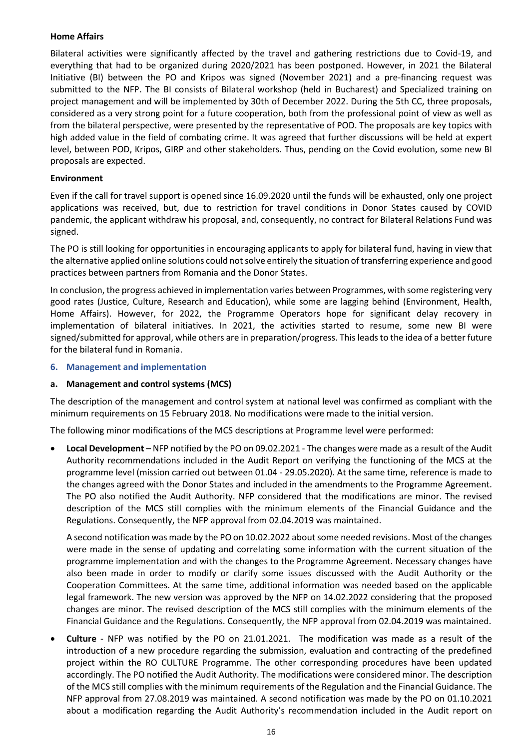# **Home Affairs**

Bilateral activities were significantly affected by the travel and gathering restrictions due to Covid-19, and everything that had to be organized during 2020/2021 has been postponed. However, in 2021 the Bilateral Initiative (BI) between the PO and Kripos was signed (November 2021) and a pre-financing request was submitted to the NFP. The BI consists of Bilateral workshop (held in Bucharest) and Specialized training on project management and will be implemented by 30th of December 2022. During the 5th CC, three proposals, considered as a very strong point for a future cooperation, both from the professional point of view as well as from the bilateral perspective, were presented by the representative of POD. The proposals are key topics with high added value in the field of combating crime. It was agreed that further discussions will be held at expert level, between POD, Kripos, GIRP and other stakeholders. Thus, pending on the Covid evolution, some new BI proposals are expected.

# **Environment**

Even if the call for travel support is opened since 16.09.2020 until the funds will be exhausted, only one project applications was received, but, due to restriction for travel conditions in Donor States caused by COVID pandemic, the applicant withdraw his proposal, and, consequently, no contract for Bilateral Relations Fund was signed.

The PO is still looking for opportunities in encouraging applicants to apply for bilateral fund, having in view that the alternative applied online solutions could not solve entirely the situation of transferring experience and good practices between partners from Romania and the Donor States.

In conclusion, the progress achieved in implementation varies between Programmes, with some registering very good rates (Justice, Culture, Research and Education), while some are lagging behind (Environment, Health, Home Affairs). However, for 2022, the Programme Operators hope for significant delay recovery in implementation of bilateral initiatives. In 2021, the activities started to resume, some new BI were signed/submitted for approval, while others are in preparation/progress. This leads to the idea of a better future for the bilateral fund in Romania.

### **6. Management and implementation**

### **a. Management and control systems (MCS)**

The description of the management and control system at national level was confirmed as compliant with the minimum requirements on 15 February 2018. No modifications were made to the initial version.

The following minor modifications of the MCS descriptions at Programme level were performed:

• **Local Development** – NFP notified by the PO on 09.02.2021 - The changes were made as a result of the Audit Authority recommendations included in the Audit Report on verifying the functioning of the MCS at the programme level (mission carried out between 01.04 - 29.05.2020). At the same time, reference is made to the changes agreed with the Donor States and included in the amendments to the Programme Agreement. The PO also notified the Audit Authority. NFP considered that the modifications are minor. The revised description of the MCS still complies with the minimum elements of the Financial Guidance and the Regulations. Consequently, the NFP approval from 02.04.2019 was maintained.

A second notification was made by the PO on 10.02.2022 about some needed revisions. Most of the changes were made in the sense of updating and correlating some information with the current situation of the programme implementation and with the changes to the Programme Agreement. Necessary changes have also been made in order to modify or clarify some issues discussed with the Audit Authority or the Cooperation Committees. At the same time, additional information was needed based on the applicable legal framework. The new version was approved by the NFP on 14.02.2022 considering that the proposed changes are minor. The revised description of the MCS still complies with the minimum elements of the Financial Guidance and the Regulations. Consequently, the NFP approval from 02.04.2019 was maintained.

• **Culture** - NFP was notified by the PO on 21.01.2021. The modification was made as a result of the introduction of a new procedure regarding the submission, evaluation and contracting of the predefined project within the RO CULTURE Programme. The other corresponding procedures have been updated accordingly. The PO notified the Audit Authority. The modifications were considered minor. The description of the MCS still complies with the minimum requirements of the Regulation and the Financial Guidance. The NFP approval from 27.08.2019 was maintained. A second notification was made by the PO on 01.10.2021 about a modification regarding the Audit Authority's recommendation included in the Audit report on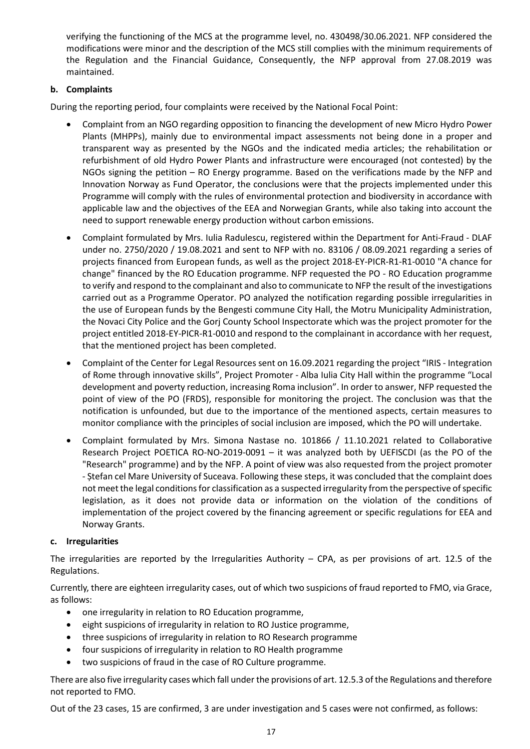verifying the functioning of the MCS at the programme level, no. 430498/30.06.2021. NFP considered the modifications were minor and the description of the MCS still complies with the minimum requirements of the Regulation and the Financial Guidance, Consequently, the NFP approval from 27.08.2019 was maintained.

# **b. Complaints**

During the reporting period, four complaints were received by the National Focal Point:

- Complaint from an NGO regarding opposition to financing the development of new Micro Hydro Power Plants (MHPPs), mainly due to environmental impact assessments not being done in a proper and transparent way as presented by the NGOs and the indicated media articles; the rehabilitation or refurbishment of old Hydro Power Plants and infrastructure were encouraged (not contested) by the NGOs signing the petition – RO Energy programme. Based on the verifications made by the NFP and Innovation Norway as Fund Operator, the conclusions were that the projects implemented under this Programme will comply with the rules of environmental protection and biodiversity in accordance with applicable law and the objectives of the EEA and Norwegian Grants, while also taking into account the need to support renewable energy production without carbon emissions.
- Complaint formulated by Mrs. Iulia Radulescu, registered within the Department for Anti-Fraud DLAF under no. 2750/2020 / 19.08.2021 and sent to NFP with no. 83106 / 08.09.2021 regarding a series of projects financed from European funds, as well as the project 2018-EY-PICR-R1-R1-0010 "A chance for change" financed by the RO Education programme. NFP requested the PO - RO Education programme to verify and respond to the complainant and also to communicate to NFP the result of the investigations carried out as a Programme Operator. PO analyzed the notification regarding possible irregularities in the use of European funds by the Bengesti commune City Hall, the Motru Municipality Administration, the Novaci City Police and the Gorj County School Inspectorate which was the project promoter for the project entitled 2018-EY-PICR-R1-0010 and respond to the complainant in accordance with her request, that the mentioned project has been completed.
- Complaint of the Center for Legal Resources sent on 16.09.2021 regarding the project "IRIS Integration of Rome through innovative skills", Project Promoter - Alba Iulia City Hall within the programme "Local development and poverty reduction, increasing Roma inclusion". In order to answer, NFP requested the point of view of the PO (FRDS), responsible for monitoring the project. The conclusion was that the notification is unfounded, but due to the importance of the mentioned aspects, certain measures to monitor compliance with the principles of social inclusion are imposed, which the PO will undertake.
- Complaint formulated by Mrs. Simona Nastase no. 101866 / 11.10.2021 related to Collaborative Research Project POETICA RO-NO-2019-0091 – it was analyzed both by UEFISCDI (as the PO of the "Research" programme) and by the NFP. A point of view was also requested from the project promoter - Ștefan cel Mare University of Suceava. Following these steps, it was concluded that the complaint does not meet the legal conditions for classification as a suspected irregularity from the perspective of specific legislation, as it does not provide data or information on the violation of the conditions of implementation of the project covered by the financing agreement or specific regulations for EEA and Norway Grants.

### **c. Irregularities**

The irregularities are reported by the Irregularities Authority – CPA, as per provisions of art. 12.5 of the Regulations.

Currently, there are eighteen irregularity cases, out of which two suspicions of fraud reported to FMO, via Grace, as follows:

- one irregularity in relation to RO Education programme,
- eight suspicions of irregularity in relation to RO Justice programme,
- three suspicions of irregularity in relation to RO Research programme
- four suspicions of irregularity in relation to RO Health programme
- two suspicions of fraud in the case of RO Culture programme.

There are also five irregularity cases which fall under the provisions of art. 12.5.3 of the Regulations and therefore not reported to FMO.

Out of the 23 cases, 15 are confirmed, 3 are under investigation and 5 cases were not confirmed, as follows: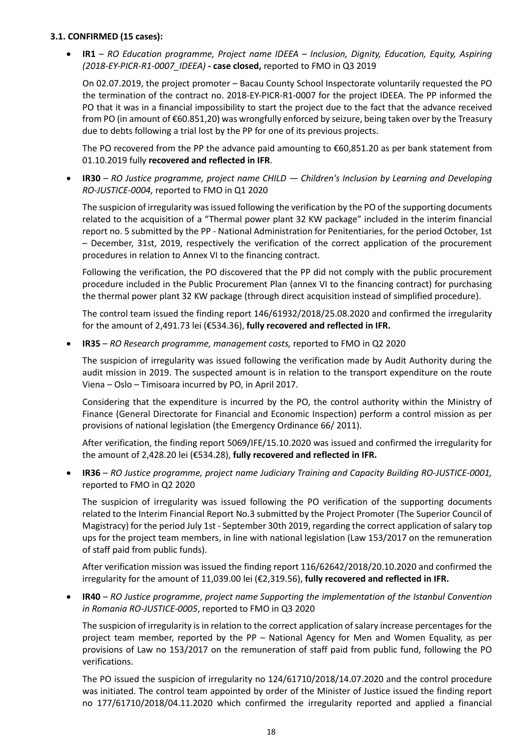## **3.1. CONFIRMED (15 cases):**

• **IR1** – *RO Education programme, Project name IDEEA – Inclusion, Dignity, Education, Equity, Aspiring (2018-EY-PICR-R1-0007\_IDEEA)* **- case closed,** reported to FMO in Q3 2019

On 02.07.2019, the project promoter – Bacau County School Inspectorate voluntarily requested the PO the termination of the contract no. 2018-EY-PICR-R1-0007 for the project IDEEA. The PP informed the PO that it was in a financial impossibility to start the project due to the fact that the advance received from PO (in amount of €60.851,20) was wrongfully enforced by seizure, being taken over by the Treasury due to debts following a trial lost by the PP for one of its previous projects.

The PO recovered from the PP the advance paid amounting to  $\epsilon$ 60,851.20 as per bank statement from 01.10.2019 fully **recovered and reflected in IFR**.

• **IR30** – *RO Justice programme, project name CHILD — [Children's Inclusion by Learning and Developing](https://grace.eeagrants.org/#/pli/view/9) RO-JUSTICE-0004,* reported to FMO in Q1 2020

The suspicion of irregularity was issued following the verification by the PO of the supporting documents related to the acquisition of a "Thermal power plant 32 KW package" included in the interim financial report no. 5 submitted by the PP - National Administration for Penitentiaries, for the period October, 1st – December, 31st, 2019, respectively the verification of the correct application of the procurement procedures in relation to Annex VI to the financing contract.

Following the verification, the PO discovered that the PP did not comply with the public procurement procedure included in the Public Procurement Plan (annex VI to the financing contract) for purchasing the thermal power plant 32 KW package (through direct acquisition instead of simplified procedure).

The control team issued the finding report 146/61932/2018/25.08.2020 and confirmed the irregularity for the amount of 2,491.73 lei (€534.36), **fully recovered and reflected in IFR.**

• **IR35** – *RO Research programme, management costs,* reported to FMO in Q2 2020

The suspicion of irregularity was issued following the verification made by Audit Authority during the audit mission in 2019. The suspected amount is in relation to the transport expenditure on the route Viena – Oslo – Timisoara incurred by PO, in April 2017.

Considering that the expenditure is incurred by the PO, the control authority within the Ministry of Finance (General Directorate for Financial and Economic Inspection) perform a control mission as per provisions of national legislation (the Emergency Ordinance 66/ 2011).

After verification, the finding report 5069/IFE/15.10.2020 was issued and confirmed the irregularity for the amount of 2,428.20 lei (€534.28), **fully recovered and reflected in IFR.**

• **IR36** – *RO Justice programme, project name [Judiciary Training and Capacity Building](https://grace.eeagrants.org/#/pli/view/6) RO-JUSTICE-0001,*  reported to FMO in Q2 2020

The suspicion of irregularity was issued following the PO verification of the supporting documents related to the Interim Financial Report No.3 submitted by the Project Promoter (The Superior Council of Magistracy) for the period July 1st - September 30th 2019, regarding the correct application of salary top ups for the project team members, in line with national legislation (Law 153/2017 on the remuneration of staff paid from public funds).

After verification mission was issued the finding report 116/62642/2018/20.10.2020 and confirmed the irregularity for the amount of 11,039.00 lei (€2,319.56), **fully recovered and reflected in IFR.**

• **IR40** – *RO Justice programme*, *project name Supporting the implementation of the Istanbul Convention in Romania RO-JUSTICE-0005*, reported to FMO in Q3 2020

The suspicion of irregularity is in relation to the correct application of salary increase percentages for the project team member, reported by the PP – National Agency for Men and Women Equality, as per provisions of Law no 153/2017 on the remuneration of staff paid from public fund, following the PO verifications.

The PO issued the suspicion of irregularity no 124/61710/2018/14.07.2020 and the control procedure was initiated. The control team appointed by order of the Minister of Justice issued the finding report no 177/61710/2018/04.11.2020 which confirmed the irregularity reported and applied a financial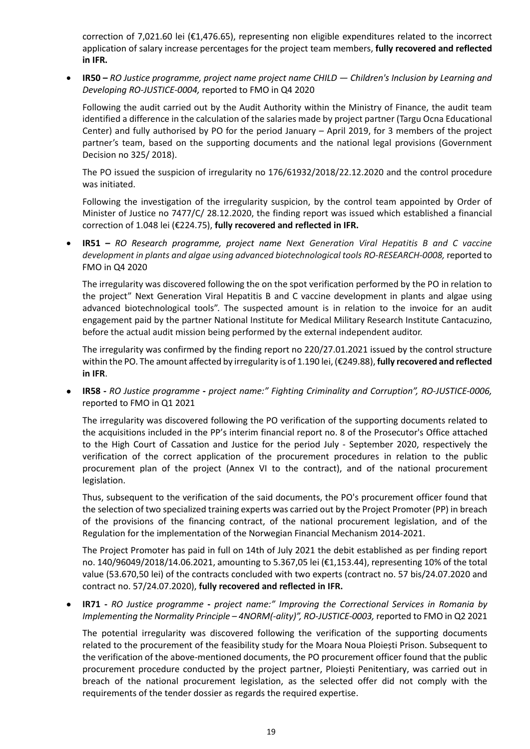correction of 7,021.60 lei (€1,476.65), representing non eligible expenditures related to the incorrect application of salary increase percentages for the project team members, **fully recovered and reflected in IFR.**

• **IR50 –** *RO Justice programme, project name project name CHILD — Children's Inclusion by Learning and Developing RO-JUSTICE-0004,* reported to FMO in Q4 2020

Following the audit carried out by the Audit Authority within the Ministry of Finance, the audit team identified a difference in the calculation of the salaries made by project partner (Targu Ocna Educational Center) and fully authorised by PO for the period January – April 2019, for 3 members of the project partner's team, based on the supporting documents and the national legal provisions (Government Decision no 325/ 2018).

The PO issued the suspicion of irregularity no 176/61932/2018/22.12.2020 and the control procedure was initiated.

Following the investigation of the irregularity suspicion, by the control team appointed by Order of Minister of Justice no 7477/C/ 28.12.2020, the finding report was issued which established a financial correction of 1.048 lei (€224.75), **fully recovered and reflected in IFR.** 

• **IR51 –** *RO Research programme, project name Next Generation Viral Hepatitis B and C vaccine development in plants and algae using advanced biotechnological tools RO-RESEARCH-0008,* reported to FMO in Q4 2020

The irregularity was discovered following the on the spot verification performed by the PO in relation to the project" Next Generation Viral Hepatitis B and C vaccine development in plants and algae using advanced biotechnological tools". The suspected amount is in relation to the invoice for an audit engagement paid by the partner National Institute for Medical Military Research Institute Cantacuzino, before the actual audit mission being performed by the external independent auditor.

The irregularity was confirmed by the finding report no 220/27.01.2021 issued by the control structure within the PO. The amount affected by irregularity is of 1.190 lei, (€249.88), **fully recovered and reflected in IFR**.

• **IR58 -** *RO Justice programme* **-** *project name:" Fighting Criminality and Corruption", RO-JUSTICE-0006,*  reported to FMO in Q1 2021

The irregularity was discovered following the PO verification of the supporting documents related to the acquisitions included in the PP's interim financial report no. 8 of the Prosecutor's Office attached to the High Court of Cassation and Justice for the period July - September 2020, respectively the verification of the correct application of the procurement procedures in relation to the public procurement plan of the project (Annex VI to the contract), and of the national procurement legislation.

Thus, subsequent to the verification of the said documents, the PO's procurement officer found that the selection of two specialized training experts was carried out by the Project Promoter (PP) in breach of the provisions of the financing contract, of the national procurement legislation, and of the Regulation for the implementation of the Norwegian Financial Mechanism 2014-2021.

The Project Promoter has paid in full on 14th of July 2021 the debit established as per finding report no. 140/96049/2018/14.06.2021, amounting to 5.367,05 lei (€1,153.44), representing 10% of the total value (53.670,50 lei) of the contracts concluded with two experts (contract no. 57 bis/24.07.2020 and contract no. 57/24.07.2020), **fully recovered and reflected in IFR.**

• **IR71 -** *RO Justice programme* **-** *project name:" Improving the Correctional Services in Romania by Implementing the Normality Principle – 4NORM(-ality)", RO-JUSTICE-0003,* reported to FMO in Q2 2021

The potential irregularity was discovered following the verification of the supporting documents related to the procurement of the feasibility study for the Moara Noua Ploiești Prison. Subsequent to the verification of the above-mentioned documents, the PO procurement officer found that the public procurement procedure conducted by the project partner, Ploiești Penitentiary, was carried out in breach of the national procurement legislation, as the selected offer did not comply with the requirements of the tender dossier as regards the required expertise.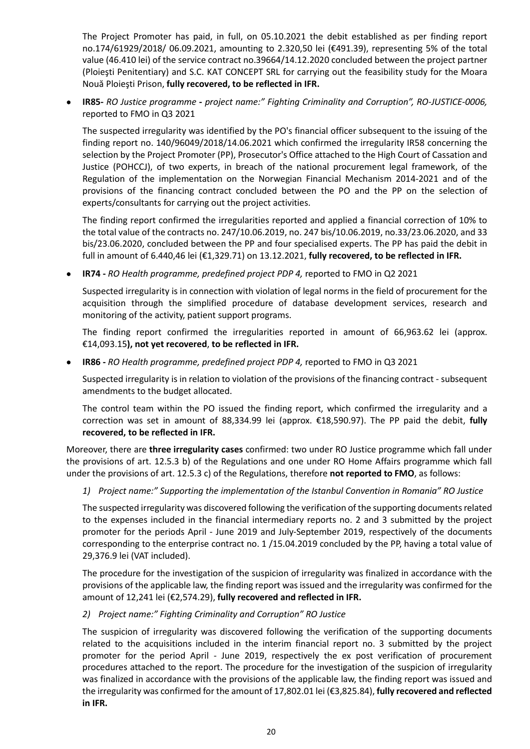The Project Promoter has paid, in full, on 05.10.2021 the debit established as per finding report no.174/61929/2018/ 06.09.2021, amounting to 2.320,50 lei (€491.39), representing 5% of the total value (46.410 lei) of the service contract no.39664/14.12.2020 concluded between the project partner (Ploieşti Penitentiary) and S.C. KAT CONCEPT SRL for carrying out the feasibility study for the Moara Nouă Ploieşti Prison, **fully recovered, to be reflected in IFR.**

• **IR85-** *RO Justice programme* **-** *project name:" Fighting Criminality and Corruption", RO-JUSTICE-0006,*  reported to FMO in Q3 2021

The suspected irregularity was identified by the PO's financial officer subsequent to the issuing of the finding report no. 140/96049/2018/14.06.2021 which confirmed the irregularity IR58 concerning the selection by the Project Promoter (PP), Prosecutor's Office attached to the High Court of Cassation and Justice (POHCCJ), of two experts, in breach of the national procurement legal framework, of the Regulation of the implementation on the Norwegian Financial Mechanism 2014-2021 and of the provisions of the financing contract concluded between the PO and the PP on the selection of experts/consultants for carrying out the project activities.

The finding report confirmed the irregularities reported and applied a financial correction of 10% to the total value of the contracts no. 247/10.06.2019, no. 247 bis/10.06.2019, no.33/23.06.2020, and 33 bis/23.06.2020, concluded between the PP and four specialised experts. The PP has paid the debit in full in amount of 6.440,46 lei (€1,329.71) on 13.12.2021, **fully recovered, to be reflected in IFR.**

• **IR74 -** *RO Health programme, predefined project PDP 4,* reported to FMO in Q2 2021

Suspected irregularity is in connection with violation of legal norms in the field of procurement for the acquisition through the simplified procedure of database development services, research and monitoring of the activity, patient support programs.

The finding report confirmed the irregularities reported in amount of 66,963.62 lei (approx. €14,093.15**), not yet recovered**, **to be reflected in IFR.**

• **IR86 -** *RO Health programme, predefined project PDP 4,* reported to FMO in Q3 2021

Suspected irregularity is in relation to violation of the provisions of the financing contract - subsequent amendments to the budget allocated.

The control team within the PO issued the finding report, which confirmed the irregularity and a correction was set in amount of 88,334.99 lei (approx. €18,590.97). The PP paid the debit, **fully recovered, to be reflected in IFR.**

Moreover, there are **three irregularity cases** confirmed: two under RO Justice programme which fall under the provisions of art. 12.5.3 b) of the Regulations and one under RO Home Affairs programme which fall under the provisions of art. 12.5.3 c) of the Regulations, therefore **not reported to FMO**, as follows:

*1) Project name:" Supporting the implementation of the Istanbul Convention in Romania" RO Justice*

The suspected irregularity was discovered following the verification of the supporting documents related to the expenses included in the financial intermediary reports no. 2 and 3 submitted by the project promoter for the periods April - June 2019 and July-September 2019, respectively of the documents corresponding to the enterprise contract no. 1 /15.04.2019 concluded by the PP, having a total value of 29,376.9 lei (VAT included).

The procedure for the investigation of the suspicion of irregularity was finalized in accordance with the provisions of the applicable law, the finding report was issued and the irregularity was confirmed for the amount of 12,241 lei (€2,574.29), **fully recovered and reflected in IFR.**

# *2) Project name:" Fighting Criminality and Corruption" RO Justice*

The suspicion of irregularity was discovered following the verification of the supporting documents related to the acquisitions included in the interim financial report no. 3 submitted by the project promoter for the period April - June 2019, respectively the ex post verification of procurement procedures attached to the report. The procedure for the investigation of the suspicion of irregularity was finalized in accordance with the provisions of the applicable law, the finding report was issued and the irregularity was confirmed for the amount of 17,802.01 lei (€3,825.84), **fully recovered and reflected in IFR.**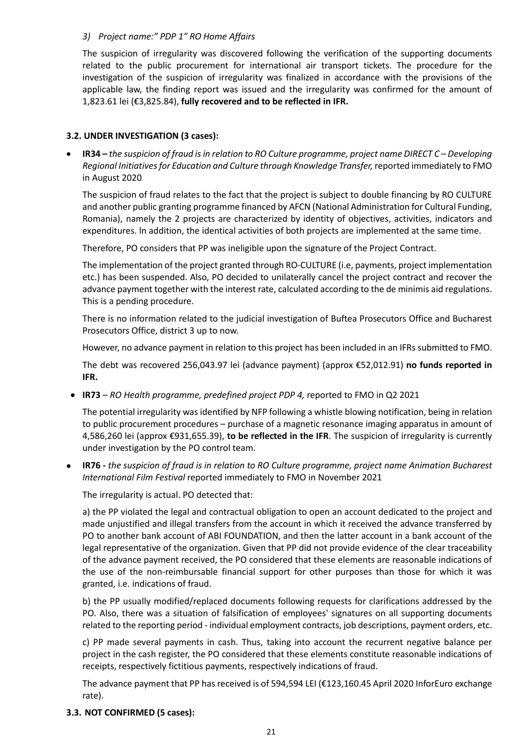# *3) Project name:" PDP 1" RO Home Affairs*

The suspicion of irregularity was discovered following the verification of the supporting documents related to the public procurement for international air transport tickets. The procedure for the investigation of the suspicion of irregularity was finalized in accordance with the provisions of the applicable law, the finding report was issued and the irregularity was confirmed for the amount of 1,823.61 lei (€3,825.84), **fully recovered and to be reflected in IFR.**

# **3.2. UNDER INVESTIGATION (3 cases):**

• **IR34 –** *the suspicion of fraud is in relation to RO Culture programme, project name DIRECT C – Developing Regional Initiatives for Education and Culture through Knowledge Transfer,* reported immediately to FMO in August 2020

The suspicion of fraud relates to the fact that the project is subject to double financing by RO CULTURE and another public granting programme financed by AFCN (National Administration for Cultural Funding, Romania), namely the 2 projects are characterized by identity of objectives, activities, indicators and expenditures. ln addition, the identical activities of both projects are implemented at the same time.

Therefore, PO considers that PP was ineligible upon the signature of the Project Contract.

The implementation of the project granted through RO-CULTURE (i.e, payments, project implementation etc.) has been suspended. Also, PO decided to unilaterally cancel the project contract and recover the advance payment together with the interest rate, calculated according to the de minimis aid regulations. This is a pending procedure.

There is no information related to the judicial investigation of Buftea Prosecutors Office and Bucharest Prosecutors Office, district 3 up to now.

However, no advance payment in relation to this project has been included in an IFRs submitted to FMO.

The debt was recovered 256,043.97 lei (advance payment) (approx €52,012.91) **no funds reported in IFR.** 

• **IR73** *– RO Health programme, predefined project PDP 4,* reported to FMO in Q2 2021

The potential irregularity was identified by NFP following a whistle blowing notification, being in relation to public procurement procedures – purchase of a magnetic resonance imaging apparatus in amount of 4,586,260 lei (approx €931,655.39), **to be reflected in the IFR**. The suspicion of irregularity is currently under investigation by the PO control team.

• **IR76 -** *the suspicion of fraud is in relation to RO Culture programme, project name Animation Bucharest International Film Festival* reported immediately to FMO in November 2021

The irregularity is actual. PO detected that:

a) the PP violated the legal and contractual obligation to open an account dedicated to the project and made unjustified and illegal transfers from the account in which it received the advance transferred by PO to another bank account of ABI FOUNDATION, and then the latter account in a bank account of the legal representative of the organization. Given that PP did not provide evidence of the clear traceability of the advance payment received, the PO considered that these elements are reasonable indications of the use of the non-reimbursable financial support for other purposes than those for which it was granted, i.e. indications of fraud.

b) the PP usually modified/replaced documents following requests for clarifications addressed by the PO. Also, there was a situation of falsification of employees' signatures on all supporting documents related to the reporting period - individual employment contracts, job descriptions, payment orders, etc.

c) PP made several payments in cash. Thus, taking into account the recurrent negative balance per project in the cash register, the PO considered that these elements constitute reasonable indications of receipts, respectively fictitious payments, respectively indications of fraud.

The advance payment that PP has received is of 594,594 LEI (€123,160.45 April 2020 InforEuro exchange rate).

### **3.3. NOT CONFIRMED (5 cases):**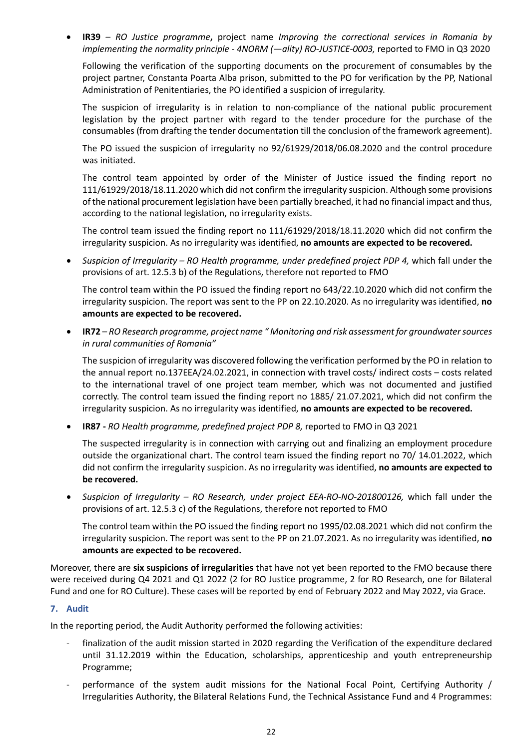• **IR39** *– RO Justice programme***,** project name *Improving the correctional services in Romania by implementing the normality principle - 4NORM (—ality) RO-JUSTICE-0003,* reported to FMO in Q3 2020

Following the verification of the supporting documents on the procurement of consumables by the project partner, Constanta Poarta Alba prison, submitted to the PO for verification by the PP, National Administration of Penitentiaries, the PO identified a suspicion of irregularity.

The suspicion of irregularity is in relation to non-compliance of the national public procurement legislation by the project partner with regard to the tender procedure for the purchase of the consumables (from drafting the tender documentation till the conclusion of the framework agreement).

The PO issued the suspicion of irregularity no 92/61929/2018/06.08.2020 and the control procedure was initiated.

The control team appointed by order of the Minister of Justice issued the finding report no 111/61929/2018/18.11.2020 which did not confirm the irregularity suspicion. Although some provisions of the national procurement legislation have been partially breached, it had no financial impact and thus, according to the national legislation, no irregularity exists.

The control team issued the finding report no 111/61929/2018/18.11.2020 which did not confirm the irregularity suspicion. As no irregularity was identified, **no amounts are expected to be recovered.**

• *Suspicion of Irregularity – RO Health programme, under predefined project PDP 4,* which fall under the provisions of art. 12.5.3 b) of the Regulations, therefore not reported to FMO

The control team within the PO issued the finding report no 643/22.10.2020 which did not confirm the irregularity suspicion. The report was sent to the PP on 22.10.2020. As no irregularity was identified, **no amounts are expected to be recovered.**

• **IR72** – *RO Research programme, project name " Monitoring and risk assessment for groundwatersources in rural communities of Romania"*

The suspicion of irregularity was discovered following the verification performed by the PO in relation to the annual report no.137EEA/24.02.2021, in connection with travel costs/ indirect costs – costs related to the international travel of one project team member, which was not documented and justified correctly. The control team issued the finding report no 1885/ 21.07.2021, which did not confirm the irregularity suspicion. As no irregularity was identified, **no amounts are expected to be recovered.**

• **IR87 -** *RO Health programme, predefined project PDP 8,* reported to FMO in Q3 2021

The suspected irregularity is in connection with carrying out and finalizing an employment procedure outside the organizational chart. The control team issued the finding report no 70/ 14.01.2022, which did not confirm the irregularity suspicion. As no irregularity was identified, **no amounts are expected to be recovered.**

• *Suspicion of Irregularity – RO Research, under project EEA-RO-NO-201800126,* which fall under the provisions of art. 12.5.3 c) of the Regulations, therefore not reported to FMO

The control team within the PO issued the finding report no 1995/02.08.2021 which did not confirm the irregularity suspicion. The report was sent to the PP on 21.07.2021. As no irregularity was identified, **no amounts are expected to be recovered.**

Moreover, there are **six suspicions of irregularities** that have not yet been reported to the FMO because there were received during Q4 2021 and Q1 2022 (2 for RO Justice programme, 2 for RO Research, one for Bilateral Fund and one for RO Culture). These cases will be reported by end of February 2022 and May 2022, via Grace.

### **7. Audit**

In the reporting period, the Audit Authority performed the following activities:

- finalization of the audit mission started in 2020 regarding the Verification of the expenditure declared until 31.12.2019 within the Education, scholarships, apprenticeship and youth entrepreneurship Programme;
- performance of the system audit missions for the National Focal Point, Certifying Authority / Irregularities Authority, the Bilateral Relations Fund, the Technical Assistance Fund and 4 Programmes: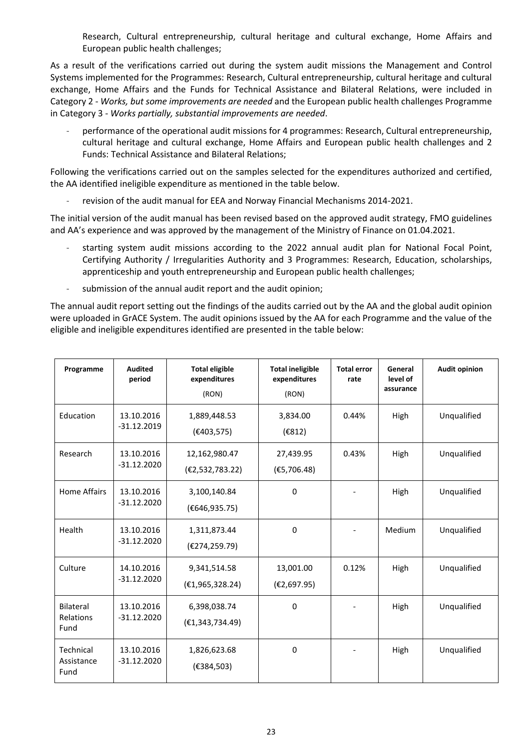Research, Cultural entrepreneurship, cultural heritage and cultural exchange, Home Affairs and European public health challenges;

As a result of the verifications carried out during the system audit missions the Management and Control Systems implemented for the Programmes: Research, Cultural entrepreneurship, cultural heritage and cultural exchange, Home Affairs and the Funds for Technical Assistance and Bilateral Relations, were included in Category 2 - *Works, but some improvements are needed* and the European public health challenges Programme in Category 3 - *Works partially, substantial improvements are needed*.

performance of the operational audit missions for 4 programmes: Research, Cultural entrepreneurship, cultural heritage and cultural exchange, Home Affairs and European public health challenges and 2 Funds: Technical Assistance and Bilateral Relations;

Following the verifications carried out on the samples selected for the expenditures authorized and certified, the AA identified ineligible expenditure as mentioned in the table below.

revision of the audit manual for EEA and Norway Financial Mechanisms 2014-2021.

The initial version of the audit manual has been revised based on the approved audit strategy, FMO guidelines and AA's experience and was approved by the management of the Ministry of Finance on 01.04.2021.

- starting system audit missions according to the 2022 annual audit plan for National Focal Point, Certifying Authority / Irregularities Authority and 3 Programmes: Research, Education, scholarships, apprenticeship and youth entrepreneurship and European public health challenges;
- submission of the annual audit report and the audit opinion;

The annual audit report setting out the findings of the audits carried out by the AA and the global audit opinion were uploaded in GrACE System. The audit opinions issued by the AA for each Programme and the value of the eligible and ineligible expenditures identified are presented in the table below:

| Programme                       | <b>Audited</b><br>period    | <b>Total eligible</b><br>expenditures<br>(RON) | <b>Total ineligible</b><br>expenditures<br>(RON) | <b>Total error</b><br>rate | General<br>level of<br>assurance | <b>Audit opinion</b> |
|---------------------------------|-----------------------------|------------------------------------------------|--------------------------------------------------|----------------------------|----------------------------------|----------------------|
| Education                       | 13.10.2016<br>$-31.12.2019$ | 1,889,448.53<br>(E403, 575)                    | 3,834.00<br>(E812)                               | 0.44%                      | High                             | Unqualified          |
| Research                        | 13.10.2016<br>$-31.12.2020$ | 12,162,980.47<br>(E2, 532, 783.22)             | 27,439.95<br>(E5, 706.48)                        | 0.43%                      | High                             | Unqualified          |
| <b>Home Affairs</b>             | 13.10.2016<br>$-31.12.2020$ | 3,100,140.84<br>(€646,935.75)                  | $\mathbf{0}$                                     |                            | High                             | Unqualified          |
| Health                          | 13.10.2016<br>$-31.12.2020$ | 1,311,873.44<br>(€274,259.79)                  | 0                                                |                            | Medium                           | Unqualified          |
| Culture                         | 14.10.2016<br>$-31.12.2020$ | 9,341,514.58<br>(E1, 965, 328.24)              | 13,001.00<br>(E2, 697.95)                        | 0.12%                      | High                             | Unqualified          |
| Bilateral<br>Relations<br>Fund  | 13.10.2016<br>$-31.12.2020$ | 6,398,038.74<br>(E1, 343, 734.49)              | 0                                                |                            | High                             | Unqualified          |
| Technical<br>Assistance<br>Fund | 13.10.2016<br>$-31.12.2020$ | 1,826,623.68<br>(€384,503)                     | 0                                                |                            | High                             | Unqualified          |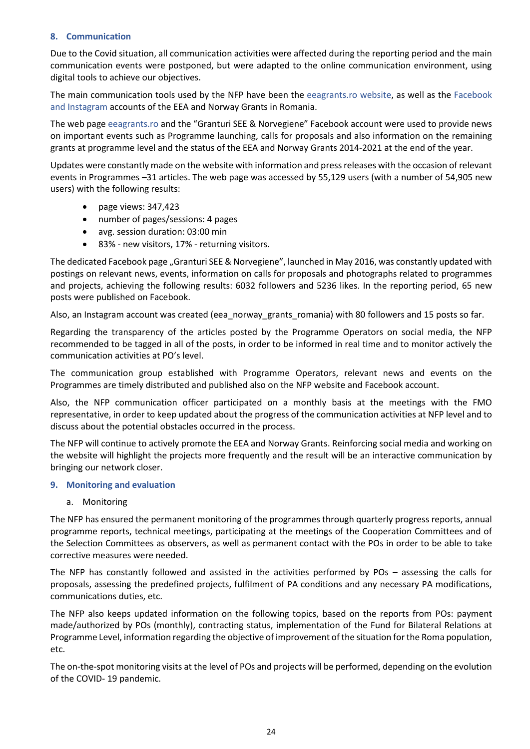# **8. Communication**

Due to the Covid situation, all communication activities were affected during the reporting period and the main communication events were postponed, but were adapted to the online communication environment, using digital tools to achieve our objectives.

The main communication tools used by the NFP have been the eeagrants.ro website, as well as the Facebook and Instagram accounts of the EEA and Norway Grants in Romania.

The web page eeagrants.ro and the "Granturi SEE & Norvegiene" Facebook account were used to provide news on important events such as Programme launching, calls for proposals and also information on the remaining grants at programme level and the status of the EEA and Norway Grants 2014-2021 at the end of the year.

Updates were constantly made on the website with information and press releases with the occasion of relevant events in Programmes –31 articles. The web page was accessed by 55,129 users (with a number of 54,905 new users) with the following results:

- page views: 347,423
- number of pages/sessions: 4 pages
- avg. session duration: 03:00 min
- 83% new visitors, 17% returning visitors.

The dedicated Facebook page "Granturi SEE & Norvegiene", launched in May 2016, was constantly updated with postings on relevant news, events, information on calls for proposals and photographs related to programmes and projects, achieving the following results: 6032 followers and 5236 likes. In the reporting period, 65 new posts were published on Facebook.

Also, an Instagram account was created (eea\_norway\_grants\_romania) with 80 followers and 15 posts so far.

Regarding the transparency of the articles posted by the Programme Operators on social media, the NFP recommended to be tagged in all of the posts, in order to be informed in real time and to monitor actively the communication activities at PO's level.

The communication group established with Programme Operators, relevant news and events on the Programmes are timely distributed and published also on the NFP website and Facebook account.

Also, the NFP communication officer participated on a monthly basis at the meetings with the FMO representative, in order to keep updated about the progress of the communication activities at NFP level and to discuss about the potential obstacles occurred in the process.

The NFP will continue to actively promote the EEA and Norway Grants. Reinforcing social media and working on the website will highlight the projects more frequently and the result will be an interactive communication by bringing our network closer.

### **9. Monitoring and evaluation**

a. Monitoring

The NFP has ensured the permanent monitoring of the programmes through quarterly progress reports, annual programme reports, technical meetings, participating at the meetings of the Cooperation Committees and of the Selection Committees as observers, as well as permanent contact with the POs in order to be able to take corrective measures were needed.

The NFP has constantly followed and assisted in the activities performed by POs – assessing the calls for proposals, assessing the predefined projects, fulfilment of PA conditions and any necessary PA modifications, communications duties, etc.

The NFP also keeps updated information on the following topics, based on the reports from POs: payment made/authorized by POs (monthly), contracting status, implementation of the Fund for Bilateral Relations at Programme Level, information regarding the objective of improvement of the situation for the Roma population, etc.

The on-the-spot monitoring visits at the level of POs and projects will be performed, depending on the evolution of the COVID- 19 pandemic.